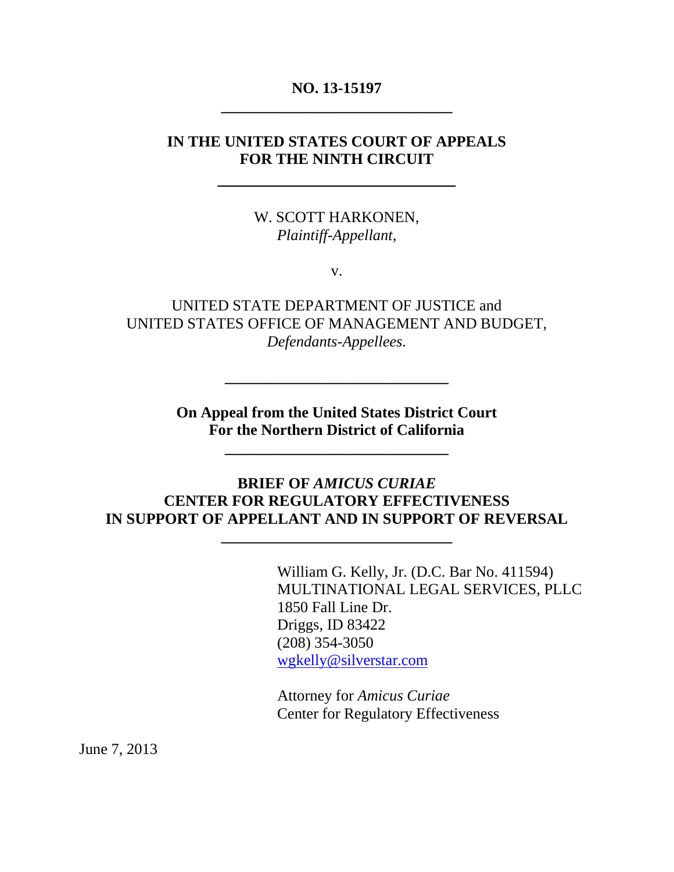## **NO. 13-15197 \_\_\_\_\_\_\_\_\_\_\_\_\_\_\_\_\_\_\_\_\_\_\_\_\_\_\_\_\_\_**

### **IN THE UNITED STATES COURT OF APPEALS FOR THE NINTH CIRCUIT**

**\_\_\_\_\_\_\_\_\_\_\_\_\_\_\_\_\_\_\_\_\_\_\_\_\_\_\_**

W. SCOTT HARKONEN, *Plaintiff-Appellant*,

v.

UNITED STATE DEPARTMENT OF JUSTICE and UNITED STATES OFFICE OF MANAGEMENT AND BUDGET, *Defendants-Appellees*.

> **On Appeal from the United States District Court For the Northern District of California**

> > **\_\_\_\_\_\_\_\_\_\_\_\_\_\_\_\_\_\_\_\_\_\_\_\_\_\_\_\_\_**

**\_\_\_\_\_\_\_\_\_\_\_\_\_\_\_\_\_\_\_\_\_\_\_\_\_\_\_\_\_**

### **BRIEF OF** *AMICUS CURIAE* **CENTER FOR REGULATORY EFFECTIVENESS IN SUPPORT OF APPELLANT AND IN SUPPORT OF REVERSAL**

**\_\_\_\_\_\_\_\_\_\_\_\_\_\_\_\_\_\_\_\_\_\_\_\_\_\_\_\_\_\_**

William G. Kelly, Jr. (D.C. Bar No. 411594) MULTINATIONAL LEGAL SERVICES, PLLC 1850 Fall Line Dr. Driggs, ID 83422 (208) 354-3050 [wgkelly@silverstar.com](mailto:wgkelly@silverstar.com)

Attorney for *Amicus Curiae* Center for Regulatory Effectiveness

June 7, 2013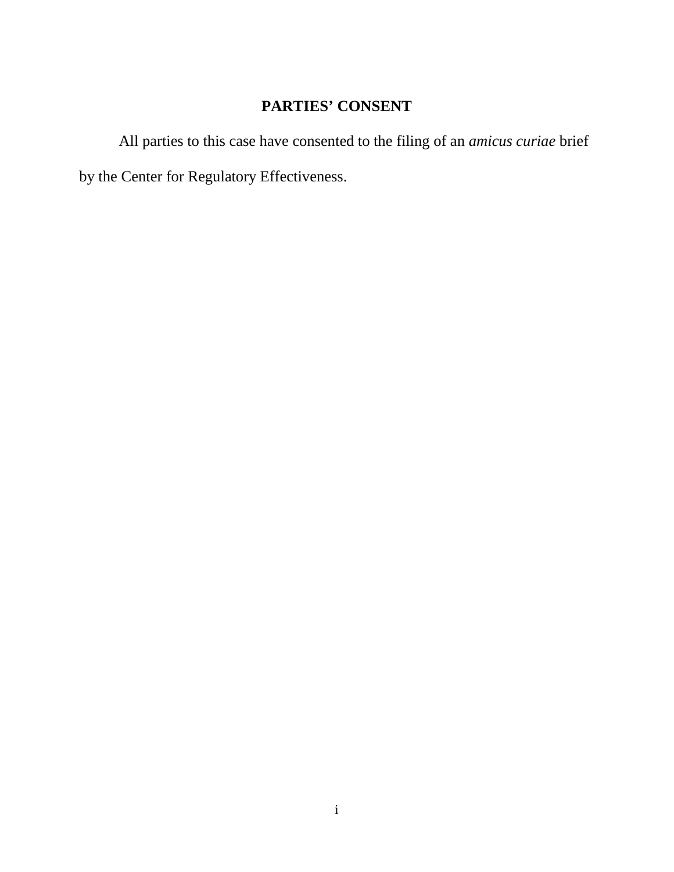# **PARTIES' CONSENT**

All parties to this case have consented to the filing of an *amicus curiae* brief by the Center for Regulatory Effectiveness.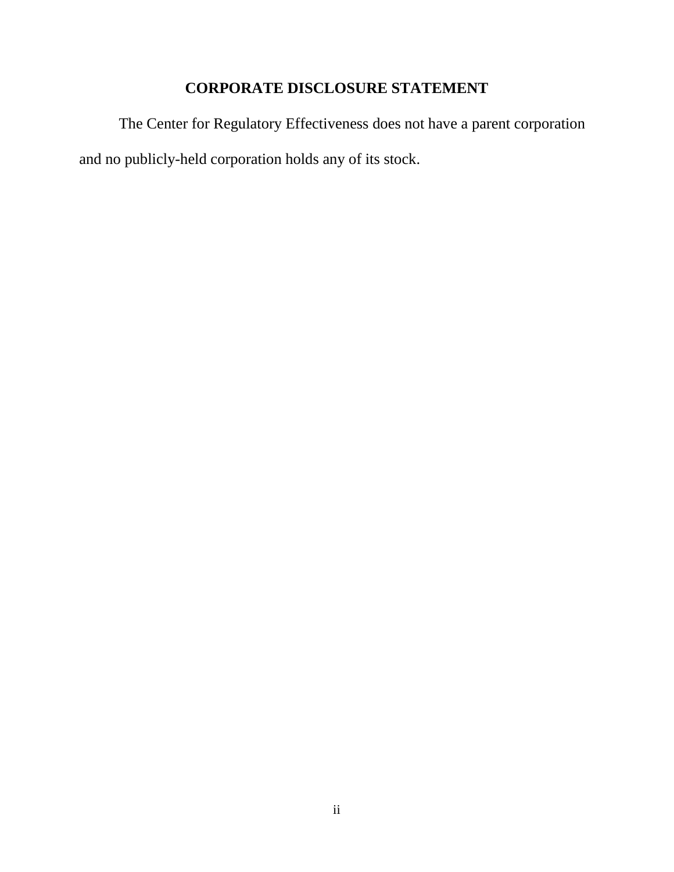# **CORPORATE DISCLOSURE STATEMENT**

The Center for Regulatory Effectiveness does not have a parent corporation and no publicly-held corporation holds any of its stock.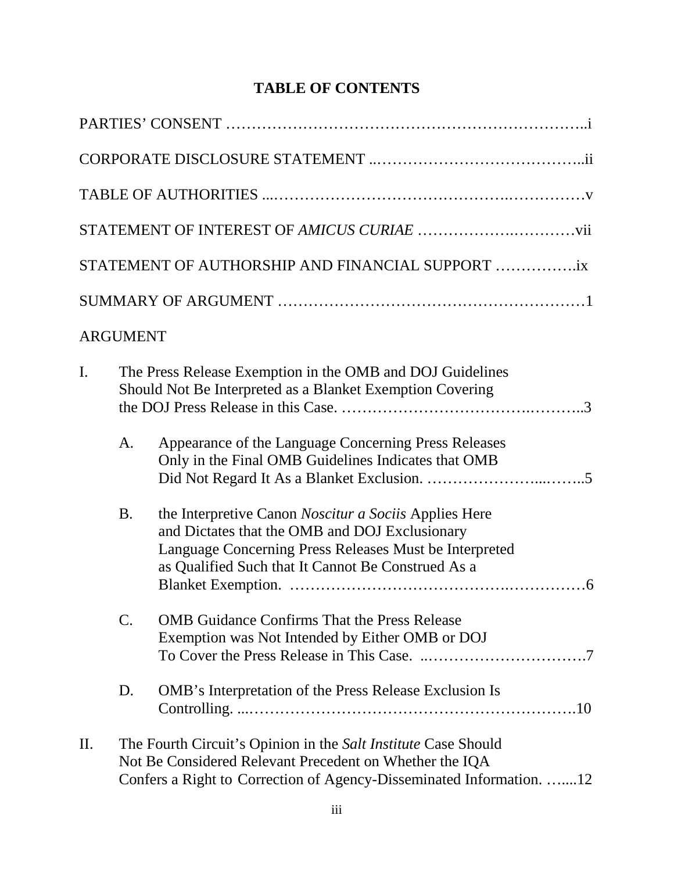# **TABLE OF CONTENTS**

|                                                                 |                 | STATEMENT OF AUTHORSHIP AND FINANCIAL SUPPORT ix                                                                                                                                                                        |  |
|-----------------------------------------------------------------|-----------------|-------------------------------------------------------------------------------------------------------------------------------------------------------------------------------------------------------------------------|--|
|                                                                 |                 |                                                                                                                                                                                                                         |  |
|                                                                 | <b>ARGUMENT</b> |                                                                                                                                                                                                                         |  |
| I.<br>Should Not Be Interpreted as a Blanket Exemption Covering |                 | The Press Release Exemption in the OMB and DOJ Guidelines                                                                                                                                                               |  |
|                                                                 | A.              | Appearance of the Language Concerning Press Releases<br>Only in the Final OMB Guidelines Indicates that OMB                                                                                                             |  |
|                                                                 | <b>B.</b>       | the Interpretive Canon Noscitur a Sociis Applies Here<br>and Dictates that the OMB and DOJ Exclusionary<br>Language Concerning Press Releases Must be Interpreted<br>as Qualified Such that It Cannot Be Construed As a |  |
|                                                                 | $\mathcal{C}$ . | <b>OMB</b> Guidance Confirms That the Press Release<br>Exemption was Not Intended by Either OMB or DOJ                                                                                                                  |  |
|                                                                 | D.              | <b>OMB</b> 's Interpretation of the Press Release Exclusion Is                                                                                                                                                          |  |
| Π.                                                              |                 | The Fourth Circuit's Opinion in the Salt Institute Case Should<br>Not Be Considered Relevant Precedent on Whether the IQA<br>Confers a Right to Correction of Agency-Disseminated Information. 12                       |  |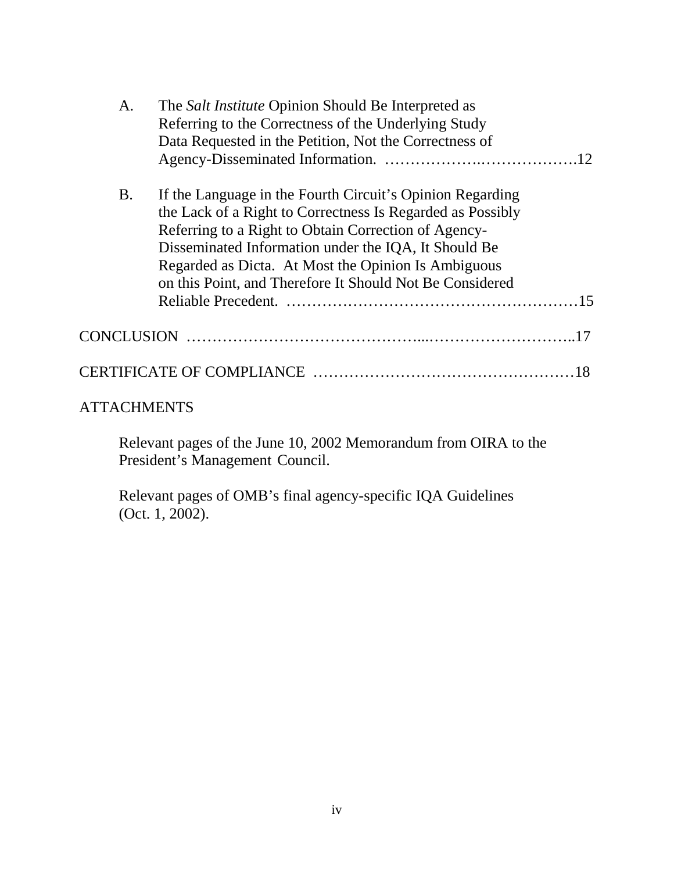| A.                | The <i>Salt Institute</i> Opinion Should Be Interpreted as |  |
|-------------------|------------------------------------------------------------|--|
|                   | Referring to the Correctness of the Underlying Study       |  |
|                   | Data Requested in the Petition, Not the Correctness of     |  |
|                   |                                                            |  |
| <b>B.</b>         | If the Language in the Fourth Circuit's Opinion Regarding  |  |
|                   | the Lack of a Right to Correctness Is Regarded as Possibly |  |
|                   | Referring to a Right to Obtain Correction of Agency-       |  |
|                   | Disseminated Information under the IQA, It Should Be       |  |
|                   | Regarded as Dicta. At Most the Opinion Is Ambiguous        |  |
|                   | on this Point, and Therefore It Should Not Be Considered   |  |
|                   |                                                            |  |
| <b>CONCLUSION</b> |                                                            |  |
|                   |                                                            |  |
|                   |                                                            |  |

# **ATTACHMENTS**

Relevant pages of the June 10, 2002 Memorandum from OIRA to the President's Management Council.

Relevant pages of OMB's final agency-specific IQA Guidelines (Oct. 1, 2002).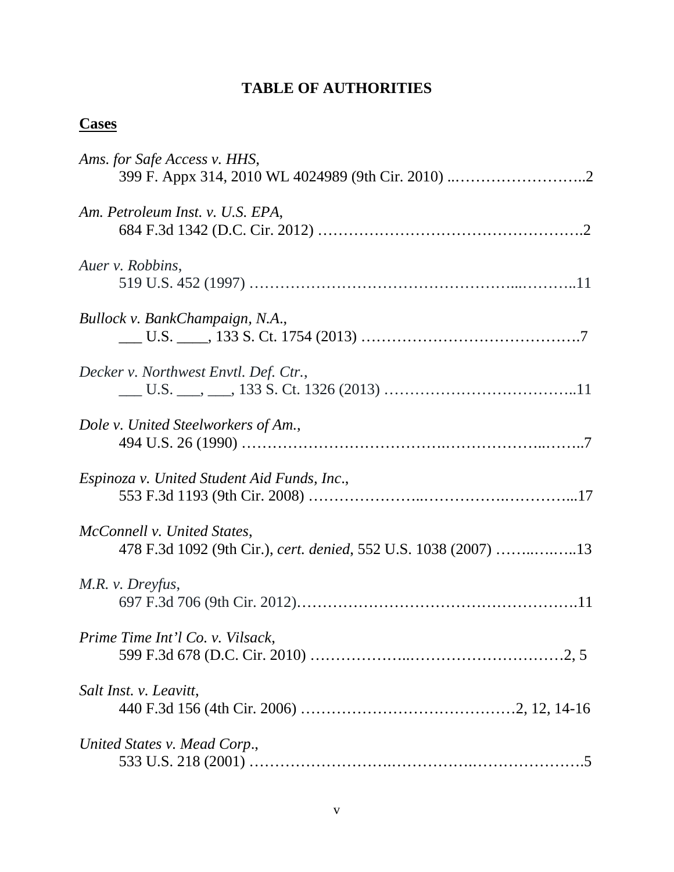# **TABLE OF AUTHORITIES**

# **Cases**

| Ams. for Safe Access v. HHS,                                                                   |
|------------------------------------------------------------------------------------------------|
| Am. Petroleum Inst. v. U.S. EPA,                                                               |
| Auer v. Robbins,                                                                               |
| Bullock v. BankChampaign, N.A.,                                                                |
| Decker v. Northwest Envtl. Def. Ctr.,                                                          |
| Dole v. United Steelworkers of Am.,                                                            |
| Espinoza v. United Student Aid Funds, Inc.,                                                    |
| McConnell v. United States,<br>478 F.3d 1092 (9th Cir.), cert. denied, 552 U.S. 1038 (2007) 13 |
| M.R. v. Dreyfus,                                                                               |
| Prime Time Int'l Co. v. Vilsack,                                                               |
| Salt Inst. v. Leavitt,                                                                         |
| United States v. Mead Corp.,                                                                   |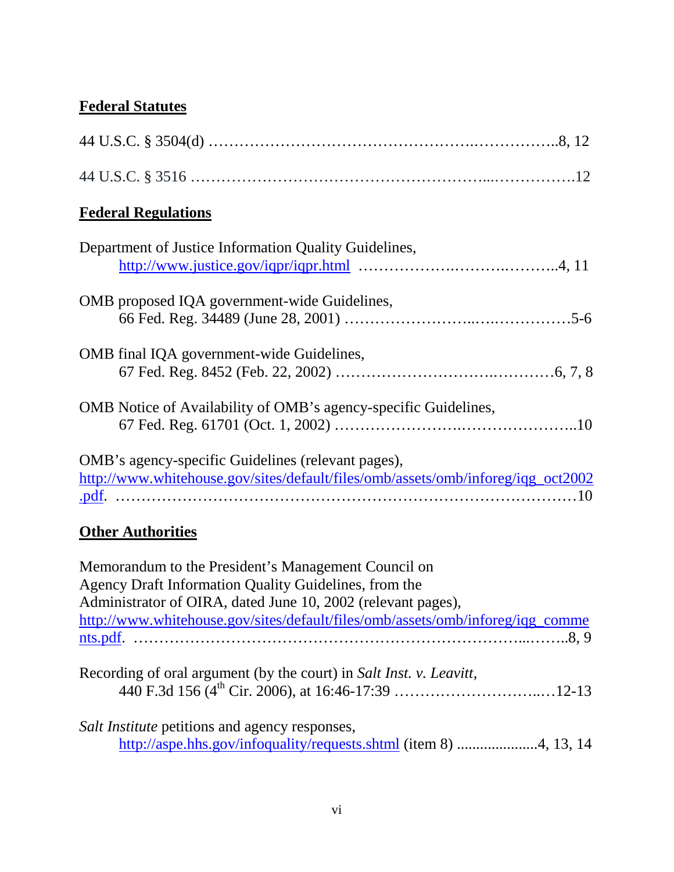# **Federal Statutes**

| <b>Federal Regulations</b>                                                                                                                                                   |
|------------------------------------------------------------------------------------------------------------------------------------------------------------------------------|
| Department of Justice Information Quality Guidelines,                                                                                                                        |
| OMB proposed IQA government-wide Guidelines,                                                                                                                                 |
| OMB final IQA government-wide Guidelines,                                                                                                                                    |
| OMB Notice of Availability of OMB's agency-specific Guidelines,                                                                                                              |
| OMB's agency-specific Guidelines (relevant pages),<br>http://www.whitehouse.gov/sites/default/files/omb/assets/omb/inforeg/iqg_oct2002                                       |
| <b>Other Authorities</b>                                                                                                                                                     |
| Memorandum to the President's Management Council on<br>Agency Draft Information Quality Guidelines, from the<br>Administrator of OIRA, dated June 10, 2002 (relevant pages), |

[http://www.whitehouse.gov/sites/default/files/omb/assets/omb/inforeg/iqg\\_comme](http://www.whitehouse.gov/sites/default/files/omb/assets/omb/inforeg/iqg_comments.pdf) [nts.pdf.](http://www.whitehouse.gov/sites/default/files/omb/assets/omb/inforeg/iqg_comments.pdf) …………………………………………………………………...……..8, 9

Recording of oral argument (by the court) in *Salt Inst. v. Leavitt*, 440 F.3d 156 (4<sup>th</sup> Cir. 2006), at 16:46-17:39 …………………………………12-13

*Salt Institute* petitions and agency responses, <http://aspe.hhs.gov/infoquality/requests.shtml> (item 8) .....................4, 13, 14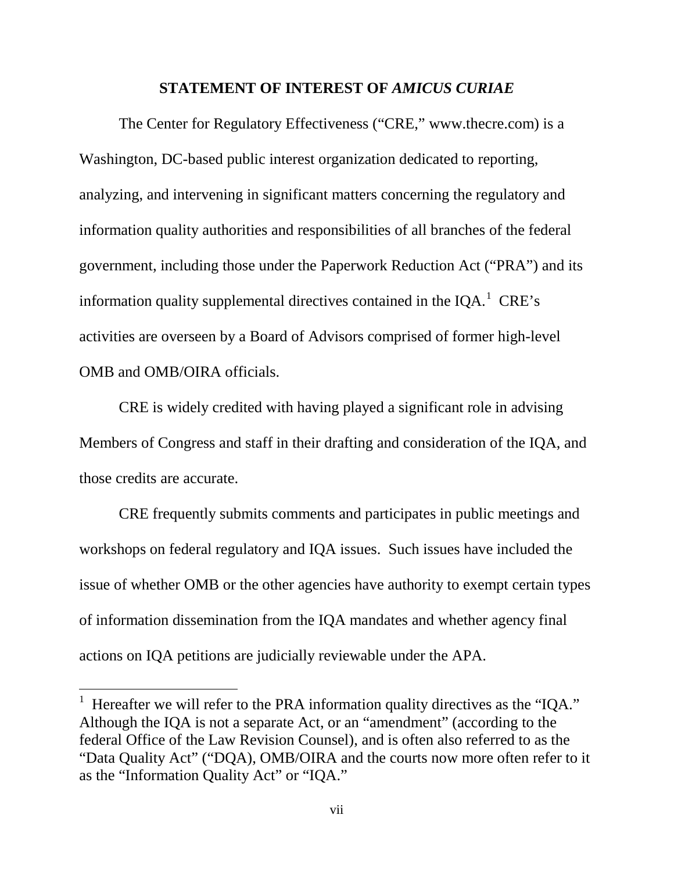#### **STATEMENT OF INTEREST OF** *AMICUS CURIAE*

The Center for Regulatory Effectiveness ("CRE," www.thecre.com) is a Washington, DC-based public interest organization dedicated to reporting, analyzing, and intervening in significant matters concerning the regulatory and information quality authorities and responsibilities of all branches of the federal government, including those under the Paperwork Reduction Act ("PRA") and its information quality supplemental directives contained in the IQA. $^1$  $^1$  CRE's activities are overseen by a Board of Advisors comprised of former high-level OMB and OMB/OIRA officials.

CRE is widely credited with having played a significant role in advising Members of Congress and staff in their drafting and consideration of the IQA, and those credits are accurate.

CRE frequently submits comments and participates in public meetings and workshops on federal regulatory and IQA issues. Such issues have included the issue of whether OMB or the other agencies have authority to exempt certain types of information dissemination from the IQA mandates and whether agency final actions on IQA petitions are judicially reviewable under the APA.

<span id="page-7-0"></span><sup>&</sup>lt;sup>1</sup> Hereafter we will refer to the PRA information quality directives as the "IQA." Although the IQA is not a separate Act, or an "amendment" (according to the federal Office of the Law Revision Counsel), and is often also referred to as the "Data Quality Act" ("DQA), OMB/OIRA and the courts now more often refer to it as the "Information Quality Act" or "IQA."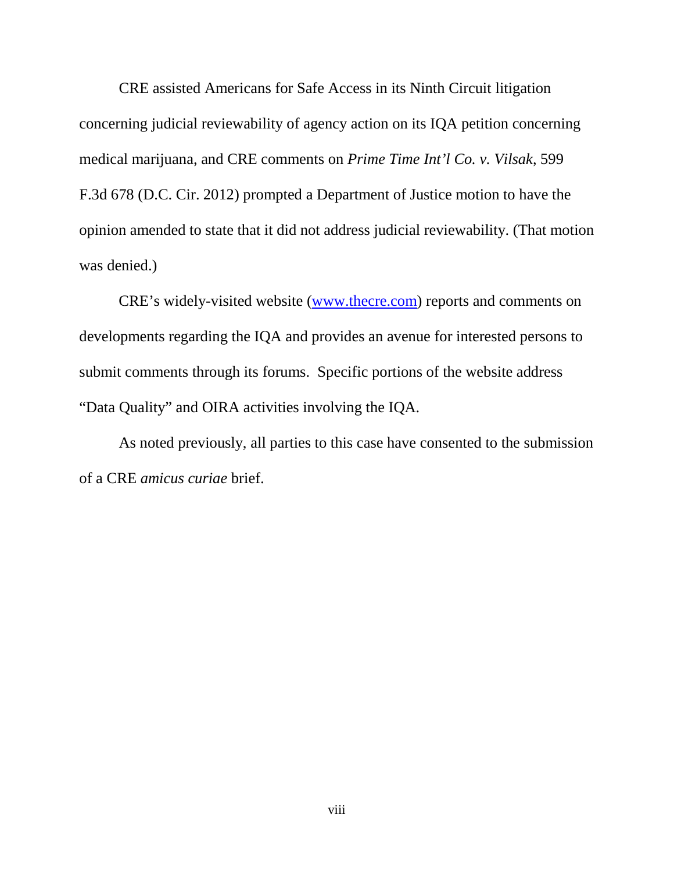CRE assisted Americans for Safe Access in its Ninth Circuit litigation concerning judicial reviewability of agency action on its IQA petition concerning medical marijuana, and CRE comments on *Prime Time Int'l Co. v. Vilsak*, 599 F.3d 678 (D.C. Cir. 2012) prompted a Department of Justice motion to have the opinion amended to state that it did not address judicial reviewability. (That motion was denied.)

CRE's widely-visited website [\(www.thecre.com\)](http://www.thecre.com/) reports and comments on developments regarding the IQA and provides an avenue for interested persons to submit comments through its forums. Specific portions of the website address "Data Quality" and OIRA activities involving the IQA.

As noted previously, all parties to this case have consented to the submission of a CRE *amicus curiae* brief.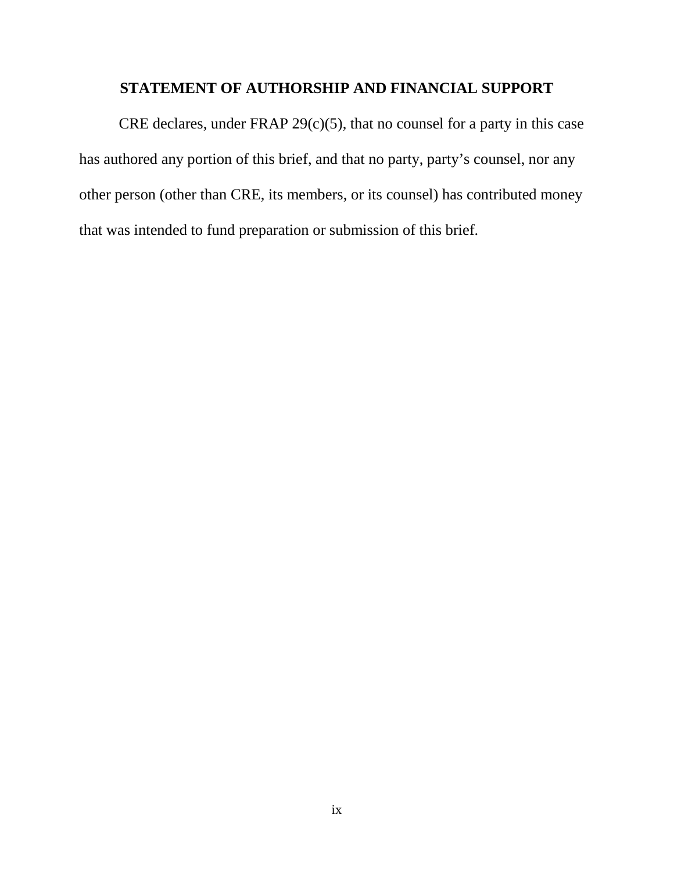# **STATEMENT OF AUTHORSHIP AND FINANCIAL SUPPORT**

CRE declares, under FRAP  $29(c)(5)$ , that no counsel for a party in this case has authored any portion of this brief, and that no party, party's counsel, nor any other person (other than CRE, its members, or its counsel) has contributed money that was intended to fund preparation or submission of this brief.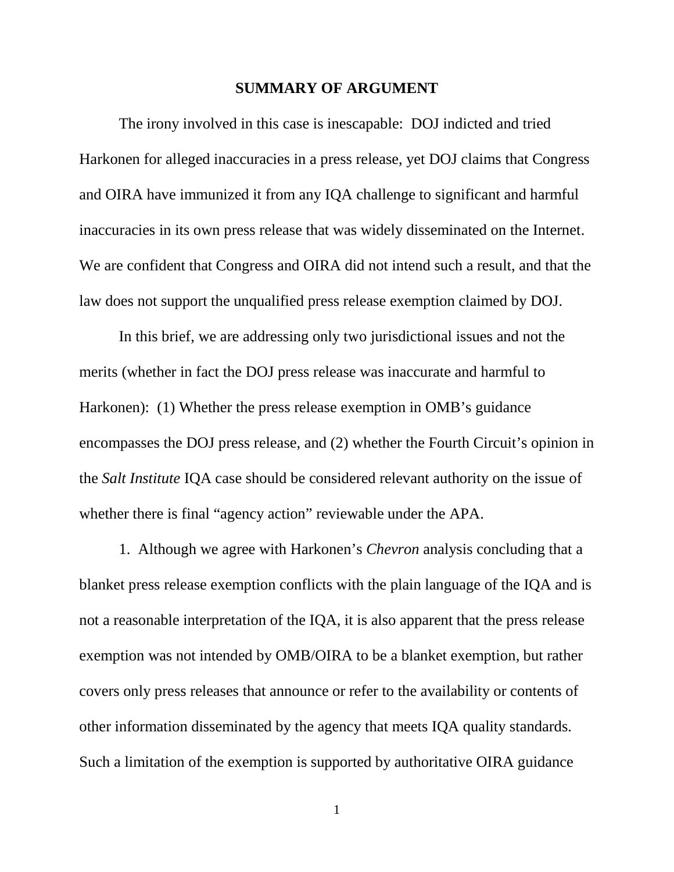#### **SUMMARY OF ARGUMENT**

The irony involved in this case is inescapable: DOJ indicted and tried Harkonen for alleged inaccuracies in a press release, yet DOJ claims that Congress and OIRA have immunized it from any IQA challenge to significant and harmful inaccuracies in its own press release that was widely disseminated on the Internet. We are confident that Congress and OIRA did not intend such a result, and that the law does not support the unqualified press release exemption claimed by DOJ.

In this brief, we are addressing only two jurisdictional issues and not the merits (whether in fact the DOJ press release was inaccurate and harmful to Harkonen): (1) Whether the press release exemption in OMB's guidance encompasses the DOJ press release, and (2) whether the Fourth Circuit's opinion in the *Salt Institute* IQA case should be considered relevant authority on the issue of whether there is final "agency action" reviewable under the APA.

1. Although we agree with Harkonen's *Chevron* analysis concluding that a blanket press release exemption conflicts with the plain language of the IQA and is not a reasonable interpretation of the IQA, it is also apparent that the press release exemption was not intended by OMB/OIRA to be a blanket exemption, but rather covers only press releases that announce or refer to the availability or contents of other information disseminated by the agency that meets IQA quality standards. Such a limitation of the exemption is supported by authoritative OIRA guidance

1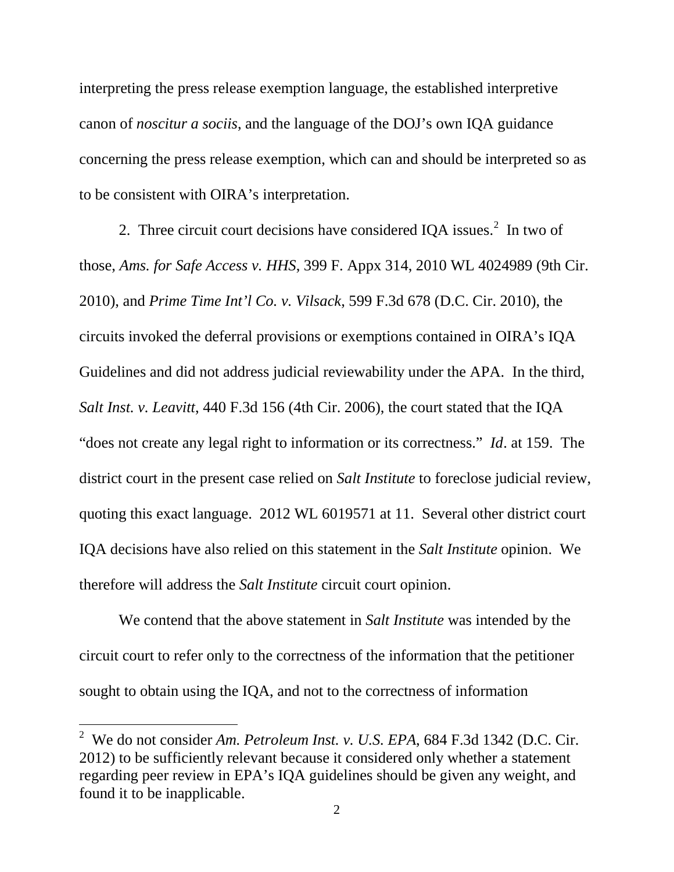interpreting the press release exemption language, the established interpretive canon of *noscitur a sociis*, and the language of the DOJ's own IQA guidance concerning the press release exemption, which can and should be interpreted so as to be consistent with OIRA's interpretation.

[2](#page-11-0). Three circuit court decisions have considered IQA issues. $2 \text{ In two of }$ those, *Ams. for Safe Access v. HHS*, 399 F. Appx 314, 2010 WL 4024989 (9th Cir. 2010), and *Prime Time Int'l Co. v. Vilsack*, 599 F.3d 678 (D.C. Cir. 2010), the circuits invoked the deferral provisions or exemptions contained in OIRA's IQA Guidelines and did not address judicial reviewability under the APA. In the third, *Salt Inst. v. Leavitt*, 440 F.3d 156 (4th Cir. 2006), the court stated that the IQA "does not create any legal right to information or its correctness." *Id*. at 159. The district court in the present case relied on *Salt Institute* to foreclose judicial review, quoting this exact language. 2012 WL 6019571 at 11. Several other district court IQA decisions have also relied on this statement in the *Salt Institute* opinion. We therefore will address the *Salt Institute* circuit court opinion.

We contend that the above statement in *Salt Institute* was intended by the circuit court to refer only to the correctness of the information that the petitioner sought to obtain using the IQA, and not to the correctness of information

<span id="page-11-0"></span> <sup>2</sup> We do not consider *Am. Petroleum Inst. v. U.S. EPA*, 684 F.3d 1342 (D.C. Cir. 2012) to be sufficiently relevant because it considered only whether a statement regarding peer review in EPA's IQA guidelines should be given any weight, and found it to be inapplicable.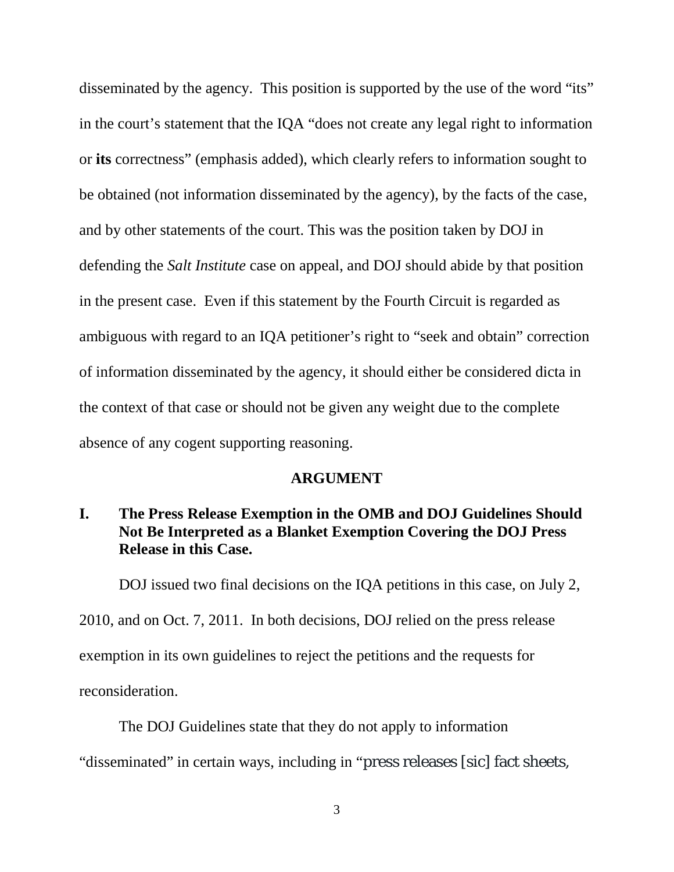disseminated by the agency. This position is supported by the use of the word "its" in the court's statement that the IQA "does not create any legal right to information or **its** correctness" (emphasis added), which clearly refers to information sought to be obtained (not information disseminated by the agency), by the facts of the case, and by other statements of the court. This was the position taken by DOJ in defending the *Salt Institute* case on appeal, and DOJ should abide by that position in the present case. Even if this statement by the Fourth Circuit is regarded as ambiguous with regard to an IQA petitioner's right to "seek and obtain" correction of information disseminated by the agency, it should either be considered dicta in the context of that case or should not be given any weight due to the complete absence of any cogent supporting reasoning.

#### **ARGUMENT**

## **I. The Press Release Exemption in the OMB and DOJ Guidelines Should Not Be Interpreted as a Blanket Exemption Covering the DOJ Press Release in this Case.**

DOJ issued two final decisions on the IQA petitions in this case, on July 2,

2010, and on Oct. 7, 2011. In both decisions, DOJ relied on the press release

exemption in its own guidelines to reject the petitions and the requests for

reconsideration.

The DOJ Guidelines state that they do not apply to information

"disseminated" in certain ways, including in "press releases [sic] fact sheets,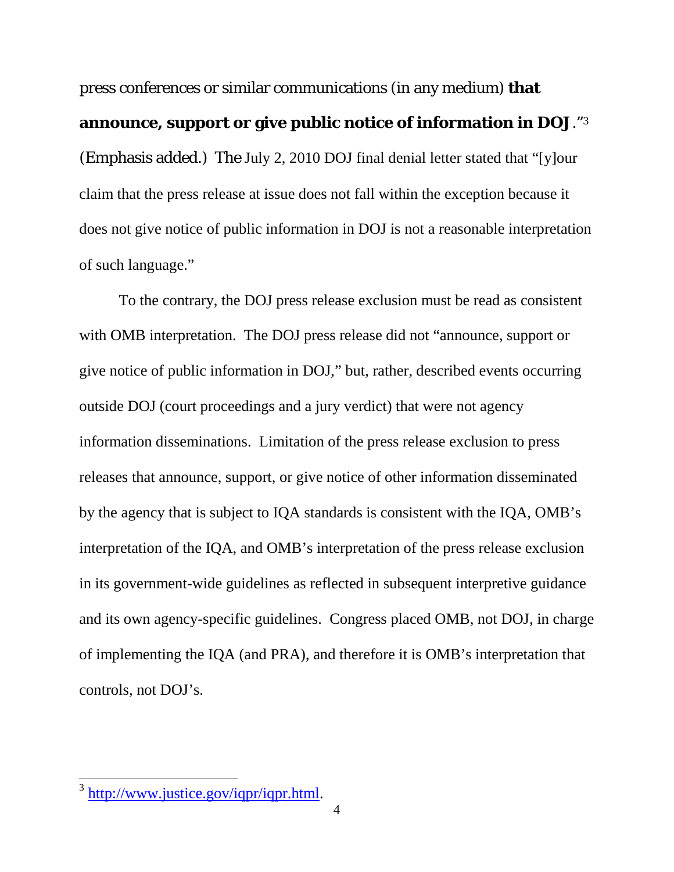press conferences or similar communications (in any medium) **that announce, support or give public notice of information in DOJ**."[3](#page-13-0) (Emphasis added.) The July 2, 2010 DOJ final denial letter stated that "[y]our claim that the press release at issue does not fall within the exception because it does not give notice of public information in DOJ is not a reasonable interpretation of such language."

To the contrary, the DOJ press release exclusion must be read as consistent with OMB interpretation. The DOJ press release did not "announce, support or give notice of public information in DOJ," but, rather, described events occurring outside DOJ (court proceedings and a jury verdict) that were not agency information disseminations. Limitation of the press release exclusion to press releases that announce, support, or give notice of other information disseminated by the agency that is subject to IQA standards is consistent with the IQA, OMB's interpretation of the IQA, and OMB's interpretation of the press release exclusion in its government-wide guidelines as reflected in subsequent interpretive guidance and its own agency-specific guidelines. Congress placed OMB, not DOJ, in charge of implementing the IQA (and PRA), and therefore it is OMB's interpretation that controls, not DOJ's.

<span id="page-13-0"></span> <sup>3</sup> [http://www.justice.gov/iqpr/iqpr.html.](http://www.justice.gov/iqpr/iqpr.html)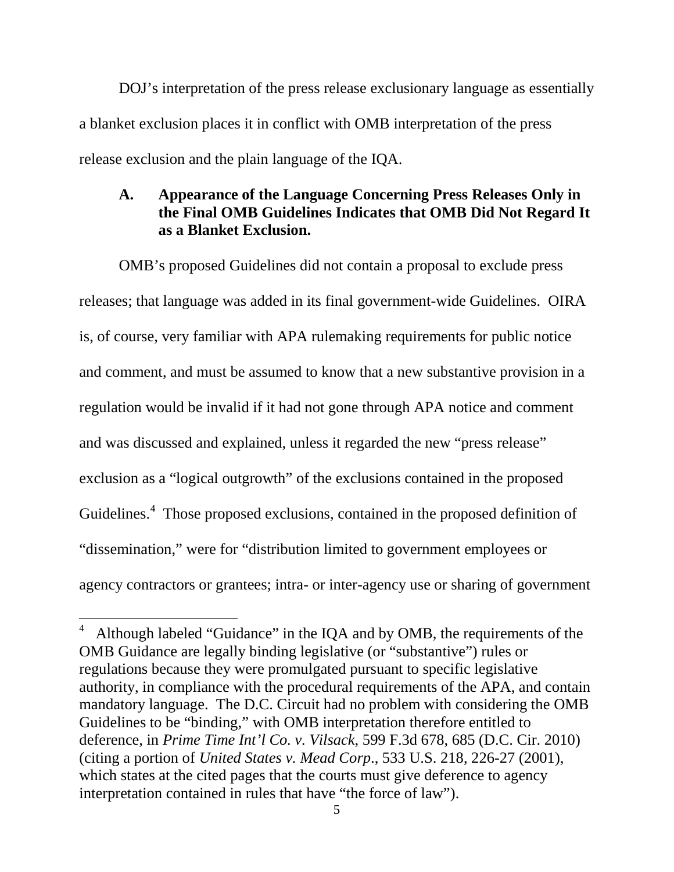DOJ's interpretation of the press release exclusionary language as essentially a blanket exclusion places it in conflict with OMB interpretation of the press release exclusion and the plain language of the IQA.

## **A. Appearance of the Language Concerning Press Releases Only in the Final OMB Guidelines Indicates that OMB Did Not Regard It as a Blanket Exclusion.**

OMB's proposed Guidelines did not contain a proposal to exclude press releases; that language was added in its final government-wide Guidelines. OIRA is, of course, very familiar with APA rulemaking requirements for public notice and comment, and must be assumed to know that a new substantive provision in a regulation would be invalid if it had not gone through APA notice and comment and was discussed and explained, unless it regarded the new "press release" exclusion as a "logical outgrowth" of the exclusions contained in the proposed Guidelines.<sup>[4](#page-14-0)</sup> Those proposed exclusions, contained in the proposed definition of "dissemination," were for "distribution limited to government employees or agency contractors or grantees; intra- or inter-agency use or sharing of government

<span id="page-14-0"></span> $\frac{1}{4}$  Although labeled "Guidance" in the IQA and by OMB, the requirements of the OMB Guidance are legally binding legislative (or "substantive") rules or regulations because they were promulgated pursuant to specific legislative authority, in compliance with the procedural requirements of the APA, and contain mandatory language. The D.C. Circuit had no problem with considering the OMB Guidelines to be "binding," with OMB interpretation therefore entitled to deference, in *Prime Time Int'l Co. v. Vilsack*, 599 F.3d 678, 685 (D.C. Cir. 2010) (citing a portion of *United States v. Mead Corp*., 533 U.S. 218, 226-27 (2001), which states at the cited pages that the courts must give deference to agency interpretation contained in rules that have "the force of law").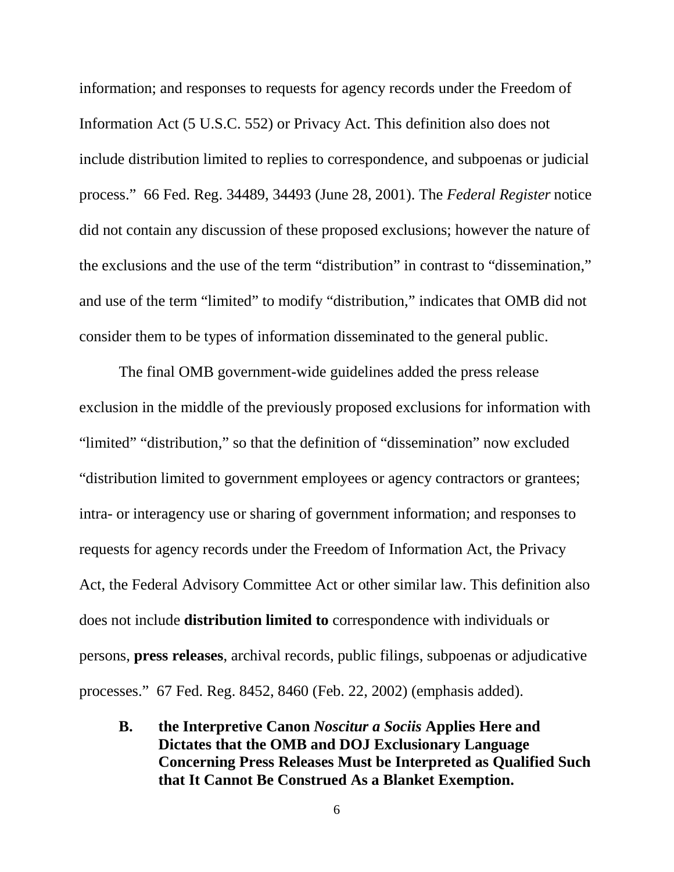information; and responses to requests for agency records under the Freedom of Information Act (5 U.S.C. 552) or Privacy Act. This definition also does not include distribution limited to replies to correspondence, and subpoenas or judicial process." 66 Fed. Reg. 34489, 34493 (June 28, 2001). The *Federal Register* notice did not contain any discussion of these proposed exclusions; however the nature of the exclusions and the use of the term "distribution" in contrast to "dissemination," and use of the term "limited" to modify "distribution," indicates that OMB did not consider them to be types of information disseminated to the general public.

The final OMB government-wide guidelines added the press release exclusion in the middle of the previously proposed exclusions for information with "limited" "distribution," so that the definition of "dissemination" now excluded "distribution limited to government employees or agency contractors or grantees; intra- or interagency use or sharing of government information; and responses to requests for agency records under the Freedom of Information Act, the Privacy Act, the Federal Advisory Committee Act or other similar law. This definition also does not include **distribution limited to** correspondence with individuals or persons, **press releases**, archival records, public filings, subpoenas or adjudicative processes." 67 Fed. Reg. 8452, 8460 (Feb. 22, 2002) (emphasis added).

**B. the Interpretive Canon** *Noscitur a Sociis* **Applies Here and Dictates that the OMB and DOJ Exclusionary Language Concerning Press Releases Must be Interpreted as Qualified Such that It Cannot Be Construed As a Blanket Exemption.**

6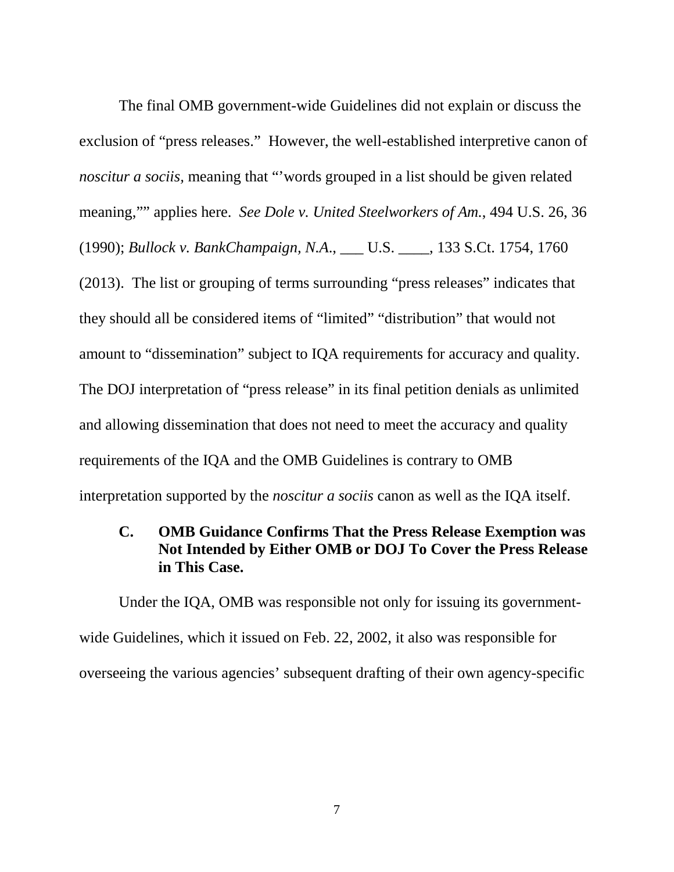The final OMB government-wide Guidelines did not explain or discuss the exclusion of "press releases." However, the well-established interpretive canon of *noscitur a sociis*, meaning that "words grouped in a list should be given related meaning,"" applies here. *See Dole v. United Steelworkers of Am.*, 494 U.S. 26, 36 (1990); *Bullock v. BankChampaign, N.A*., \_\_\_ U.S. \_\_\_\_, 133 S.Ct. 1754, 1760 (2013). The list or grouping of terms surrounding "press releases" indicates that they should all be considered items of "limited" "distribution" that would not amount to "dissemination" subject to IQA requirements for accuracy and quality. The DOJ interpretation of "press release" in its final petition denials as unlimited and allowing dissemination that does not need to meet the accuracy and quality requirements of the IQA and the OMB Guidelines is contrary to OMB interpretation supported by the *noscitur a sociis* canon as well as the IQA itself.

### **C. OMB Guidance Confirms That the Press Release Exemption was Not Intended by Either OMB or DOJ To Cover the Press Release in This Case.**

Under the IQA, OMB was responsible not only for issuing its governmentwide Guidelines, which it issued on Feb. 22, 2002, it also was responsible for overseeing the various agencies' subsequent drafting of their own agency-specific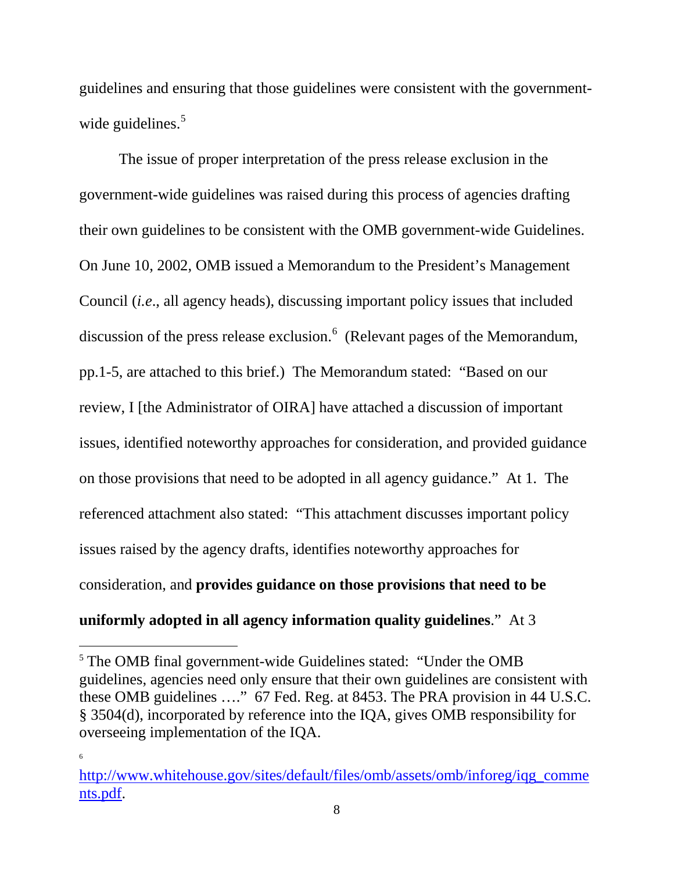guidelines and ensuring that those guidelines were consistent with the governmentwide guidelines. $5$ 

The issue of proper interpretation of the press release exclusion in the government-wide guidelines was raised during this process of agencies drafting their own guidelines to be consistent with the OMB government-wide Guidelines. On June 10, 2002, OMB issued a Memorandum to the President's Management Council (*i.e*., all agency heads), discussing important policy issues that included discussion of the press release exclusion.<sup>[6](#page-17-1)</sup> (Relevant pages of the Memorandum, pp.1-5, are attached to this brief.) The Memorandum stated: "Based on our review, I [the Administrator of OIRA] have attached a discussion of important issues, identified noteworthy approaches for consideration, and provided guidance on those provisions that need to be adopted in all agency guidance." At 1. The referenced attachment also stated: "This attachment discusses important policy issues raised by the agency drafts, identifies noteworthy approaches for consideration, and **provides guidance on those provisions that need to be uniformly adopted in all agency information quality guidelines**." At 3

6

<span id="page-17-0"></span> <sup>5</sup> The OMB final government-wide Guidelines stated: "Under the OMB guidelines, agencies need only ensure that their own guidelines are consistent with these OMB guidelines …." 67 Fed. Reg. at 8453. The PRA provision in 44 U.S.C. § 3504(d), incorporated by reference into the IQA, gives OMB responsibility for overseeing implementation of the IQA.

<span id="page-17-1"></span>[http://www.whitehouse.gov/sites/default/files/omb/assets/omb/inforeg/iqg\\_comme](http://www.whitehouse.gov/sites/default/files/omb/assets/omb/inforeg/iqg_comments.pdf) [nts.pdf.](http://www.whitehouse.gov/sites/default/files/omb/assets/omb/inforeg/iqg_comments.pdf)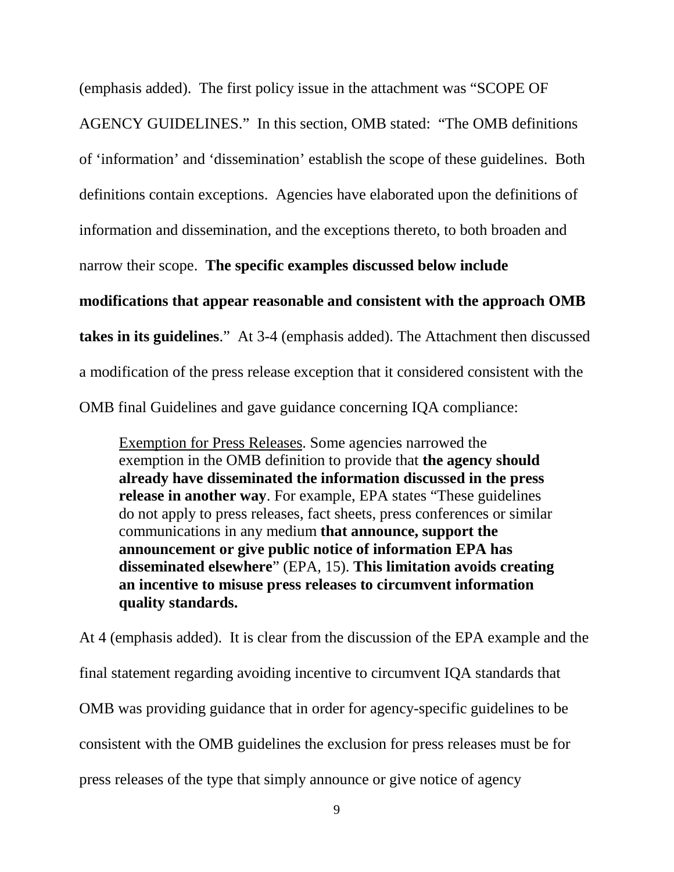(emphasis added). The first policy issue in the attachment was "SCOPE OF

AGENCY GUIDELINES." In this section, OMB stated: "The OMB definitions of 'information' and 'dissemination' establish the scope of these guidelines. Both definitions contain exceptions. Agencies have elaborated upon the definitions of information and dissemination, and the exceptions thereto, to both broaden and

narrow their scope. **The specific examples discussed below include** 

**modifications that appear reasonable and consistent with the approach OMB takes in its guidelines**." At 3-4 (emphasis added). The Attachment then discussed a modification of the press release exception that it considered consistent with the OMB final Guidelines and gave guidance concerning IQA compliance:

Exemption for Press Releases. Some agencies narrowed the exemption in the OMB definition to provide that **the agency should already have disseminated the information discussed in the press release in another way**. For example, EPA states "These guidelines do not apply to press releases, fact sheets, press conferences or similar communications in any medium **that announce, support the announcement or give public notice of information EPA has disseminated elsewhere**" (EPA, 15). **This limitation avoids creating an incentive to misuse press releases to circumvent information quality standards.**

At 4 (emphasis added). It is clear from the discussion of the EPA example and the final statement regarding avoiding incentive to circumvent IQA standards that OMB was providing guidance that in order for agency-specific guidelines to be consistent with the OMB guidelines the exclusion for press releases must be for press releases of the type that simply announce or give notice of agency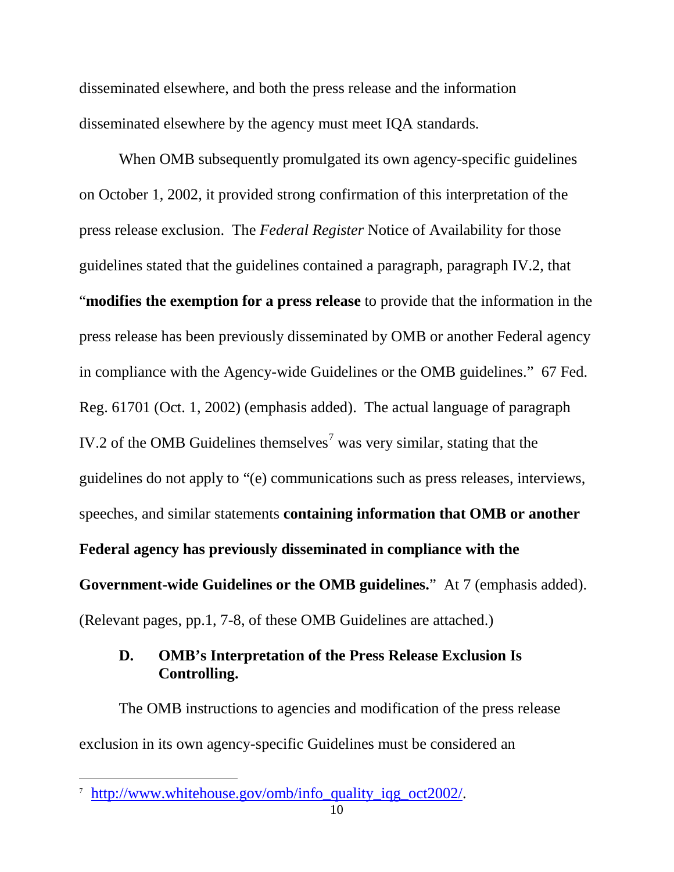disseminated elsewhere, and both the press release and the information disseminated elsewhere by the agency must meet IQA standards.

When OMB subsequently promulgated its own agency-specific guidelines on October 1, 2002, it provided strong confirmation of this interpretation of the press release exclusion. The *Federal Register* Notice of Availability for those guidelines stated that the guidelines contained a paragraph, paragraph IV.2, that "**modifies the exemption for a press release** to provide that the information in the press release has been previously disseminated by OMB or another Federal agency in compliance with the Agency-wide Guidelines or the OMB guidelines." 67 Fed. Reg. 61701 (Oct. 1, 2002) (emphasis added). The actual language of paragraph IV.2 of the OMB Guidelines themselves<sup>[7](#page-19-0)</sup> was very similar, stating that the guidelines do not apply to "(e) communications such as press releases, interviews, speeches, and similar statements **containing information that OMB or another Federal agency has previously disseminated in compliance with the Government-wide Guidelines or the OMB guidelines.**" At 7 (emphasis added). (Relevant pages, pp.1, 7-8, of these OMB Guidelines are attached.)

## **D. OMB's Interpretation of the Press Release Exclusion Is Controlling.**

The OMB instructions to agencies and modification of the press release exclusion in its own agency-specific Guidelines must be considered an

<span id="page-19-0"></span> <sup>7</sup> [http://www.whitehouse.gov/omb/info\\_quality\\_iqg\\_oct2002/.](http://www.whitehouse.gov/omb/info_quality_iqg_oct2002/)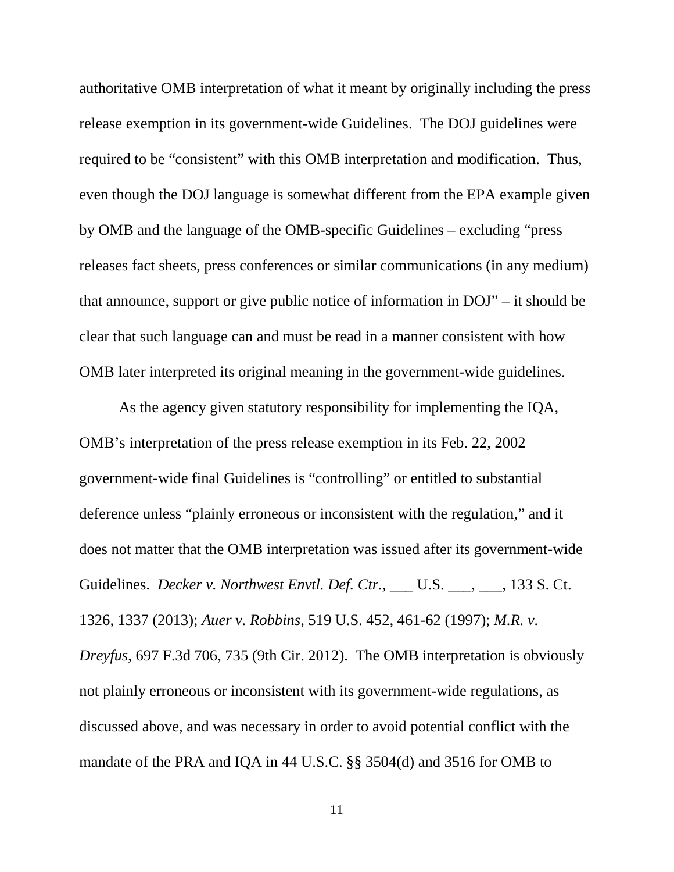authoritative OMB interpretation of what it meant by originally including the press release exemption in its government-wide Guidelines. The DOJ guidelines were required to be "consistent" with this OMB interpretation and modification. Thus, even though the DOJ language is somewhat different from the EPA example given by OMB and the language of the OMB-specific Guidelines – excluding "press releases fact sheets, press conferences or similar communications (in any medium) that announce, support or give public notice of information in DOJ" – it should be clear that such language can and must be read in a manner consistent with how OMB later interpreted its original meaning in the government-wide guidelines.

As the agency given statutory responsibility for implementing the IQA, OMB's interpretation of the press release exemption in its Feb. 22, 2002 government-wide final Guidelines is "controlling" or entitled to substantial deference unless "plainly erroneous or inconsistent with the regulation," and it does not matter that the OMB interpretation was issued after its government-wide Guidelines. *Decker v. Northwest Envtl. Def. Ctr.*, \_\_\_ U.S. \_\_\_, \_\_\_, 133 S. Ct. 1326, 1337 (2013); *Auer v. Robbins*, 519 U.S. 452, 461-62 (1997); *M.R. v. Dreyfus*, 697 F.3d 706, 735 (9th Cir. 2012). The OMB interpretation is obviously not plainly erroneous or inconsistent with its government-wide regulations, as discussed above, and was necessary in order to avoid potential conflict with the mandate of the PRA and IQA in 44 U.S.C. §§ 3504(d) and 3516 for OMB to

11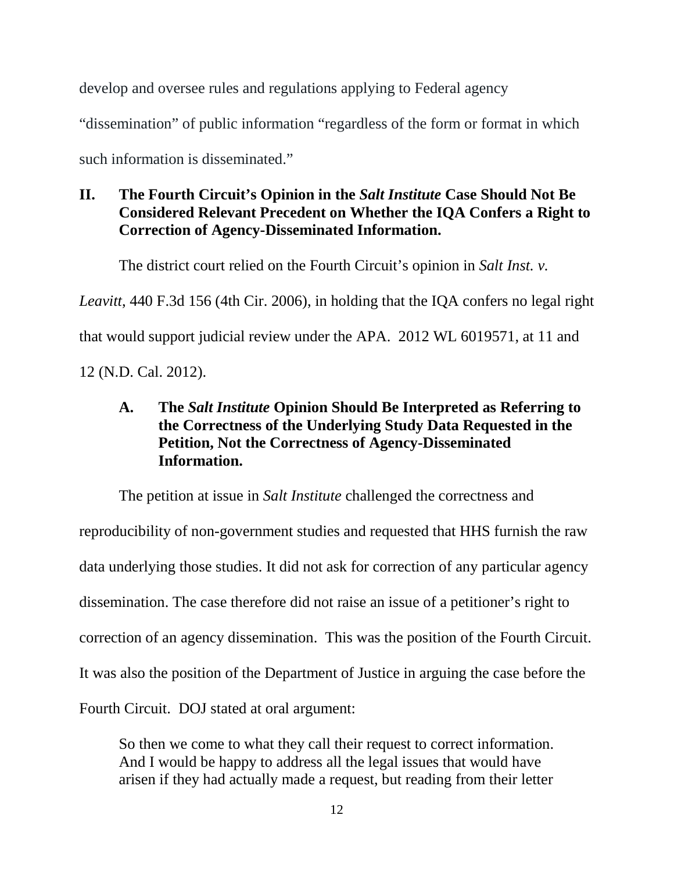develop and oversee rules and regulations applying to Federal agency

"dissemination" of public information "regardless of the form or format in which

such information is disseminated."

## **II. The Fourth Circuit's Opinion in the** *Salt Institute* **Case Should Not Be Considered Relevant Precedent on Whether the IQA Confers a Right to Correction of Agency-Disseminated Information.**

The district court relied on the Fourth Circuit's opinion in *Salt Inst. v.* 

*Leavitt*, 440 F.3d 156 (4th Cir. 2006), in holding that the IQA confers no legal right

that would support judicial review under the APA. 2012 WL 6019571, at 11 and

12 (N.D. Cal. 2012).

# **A. The** *Salt Institute* **Opinion Should Be Interpreted as Referring to the Correctness of the Underlying Study Data Requested in the Petition, Not the Correctness of Agency-Disseminated Information.**

The petition at issue in *Salt Institute* challenged the correctness and reproducibility of non-government studies and requested that HHS furnish the raw data underlying those studies. It did not ask for correction of any particular agency dissemination. The case therefore did not raise an issue of a petitioner's right to correction of an agency dissemination. This was the position of the Fourth Circuit. It was also the position of the Department of Justice in arguing the case before the Fourth Circuit. DOJ stated at oral argument:

So then we come to what they call their request to correct information. And I would be happy to address all the legal issues that would have arisen if they had actually made a request, but reading from their letter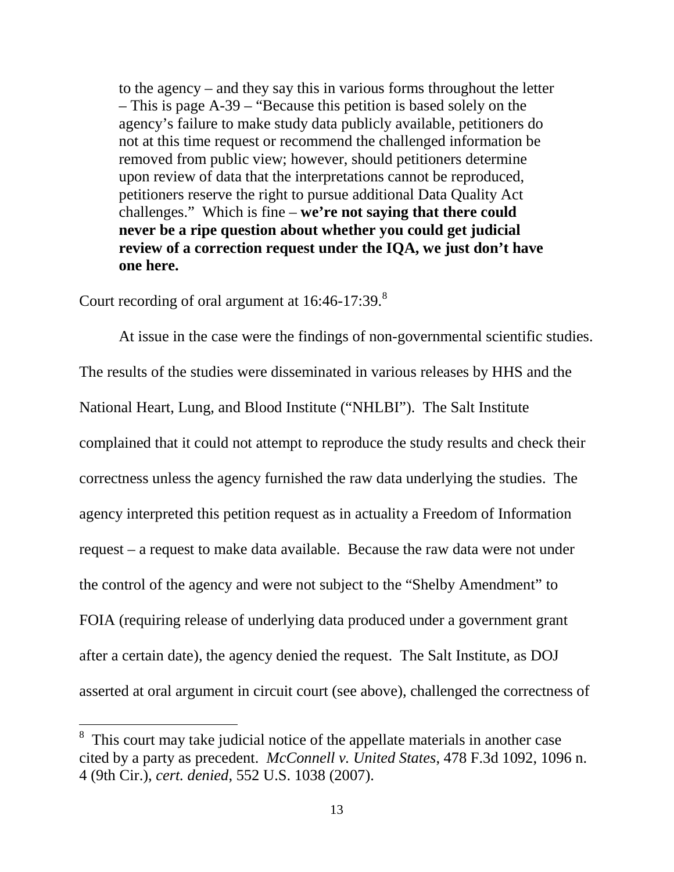to the agency – and they say this in various forms throughout the letter – This is page A-39 – "Because this petition is based solely on the agency's failure to make study data publicly available, petitioners do not at this time request or recommend the challenged information be removed from public view; however, should petitioners determine upon review of data that the interpretations cannot be reproduced, petitioners reserve the right to pursue additional Data Quality Act challenges." Which is fine – **we're not saying that there could never be a ripe question about whether you could get judicial review of a correction request under the IQA, we just don't have one here.**

Court recording of oral argument at 16:46-17:39.<sup>[8](#page-22-0)</sup>

At issue in the case were the findings of non-governmental scientific studies. The results of the studies were disseminated in various releases by HHS and the National Heart, Lung, and Blood Institute ("NHLBI"). The Salt Institute complained that it could not attempt to reproduce the study results and check their correctness unless the agency furnished the raw data underlying the studies. The agency interpreted this petition request as in actuality a Freedom of Information request – a request to make data available. Because the raw data were not under the control of the agency and were not subject to the "Shelby Amendment" to FOIA (requiring release of underlying data produced under a government grant after a certain date), the agency denied the request. The Salt Institute, as DOJ asserted at oral argument in circuit court (see above), challenged the correctness of

<span id="page-22-0"></span><sup>&</sup>lt;sup>8</sup> This court may take judicial notice of the appellate materials in another case cited by a party as precedent. *McConnell v. United States*, 478 F.3d 1092, 1096 n. 4 (9th Cir.), *cert. denied*, 552 U.S. 1038 (2007).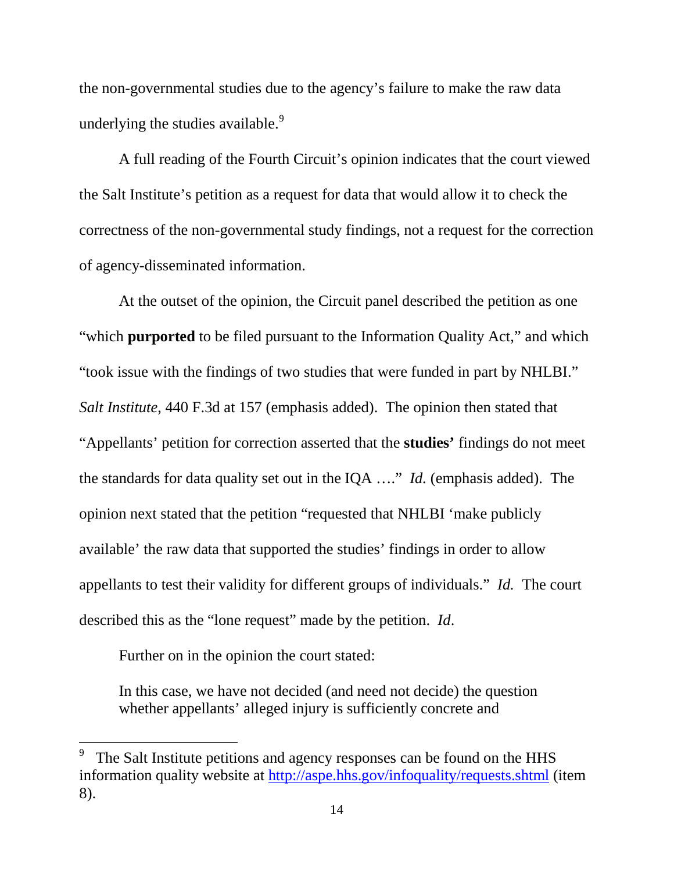the non-governmental studies due to the agency's failure to make the raw data underlying the studies available.<sup>[9](#page-23-0)</sup>

A full reading of the Fourth Circuit's opinion indicates that the court viewed the Salt Institute's petition as a request for data that would allow it to check the correctness of the non-governmental study findings, not a request for the correction of agency-disseminated information.

At the outset of the opinion, the Circuit panel described the petition as one "which **purported** to be filed pursuant to the Information Quality Act," and which "took issue with the findings of two studies that were funded in part by NHLBI." *Salt Institute*, 440 F.3d at 157 (emphasis added). The opinion then stated that "Appellants' petition for correction asserted that the **studies'** findings do not meet the standards for data quality set out in the IQA …." *Id.* (emphasis added). The opinion next stated that the petition "requested that NHLBI 'make publicly available' the raw data that supported the studies' findings in order to allow appellants to test their validity for different groups of individuals." *Id.* The court described this as the "lone request" made by the petition. *Id*.

Further on in the opinion the court stated:

In this case, we have not decided (and need not decide) the question whether appellants' alleged injury is sufficiently concrete and

<span id="page-23-0"></span> <sup>9</sup> The Salt Institute petitions and agency responses can be found on the HHS information quality website at<http://aspe.hhs.gov/infoquality/requests.shtml> (item 8).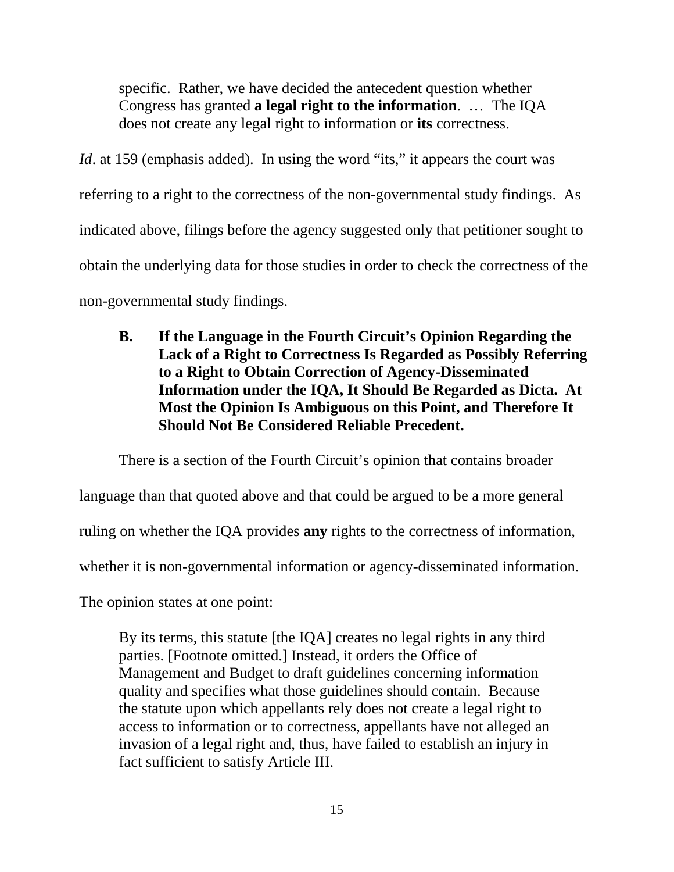specific. Rather, we have decided the antecedent question whether Congress has granted **a legal right to the information**. … The IQA does not create any legal right to information or **its** correctness.

*Id.* at 159 (emphasis added). In using the word "its," it appears the court was referring to a right to the correctness of the non-governmental study findings. As indicated above, filings before the agency suggested only that petitioner sought to obtain the underlying data for those studies in order to check the correctness of the non-governmental study findings.

**B. If the Language in the Fourth Circuit's Opinion Regarding the Lack of a Right to Correctness Is Regarded as Possibly Referring to a Right to Obtain Correction of Agency-Disseminated Information under the IQA, It Should Be Regarded as Dicta. At Most the Opinion Is Ambiguous on this Point, and Therefore It Should Not Be Considered Reliable Precedent.**

There is a section of the Fourth Circuit's opinion that contains broader

language than that quoted above and that could be argued to be a more general

ruling on whether the IQA provides **any** rights to the correctness of information,

whether it is non-governmental information or agency-disseminated information.

The opinion states at one point:

By its terms, this statute [the IQA] creates no legal rights in any third parties. [Footnote omitted.] Instead, it orders the Office of Management and Budget to draft guidelines concerning information quality and specifies what those guidelines should contain. Because the statute upon which appellants rely does not create a legal right to access to information or to correctness, appellants have not alleged an invasion of a legal right and, thus, have failed to establish an injury in fact sufficient to satisfy Article III.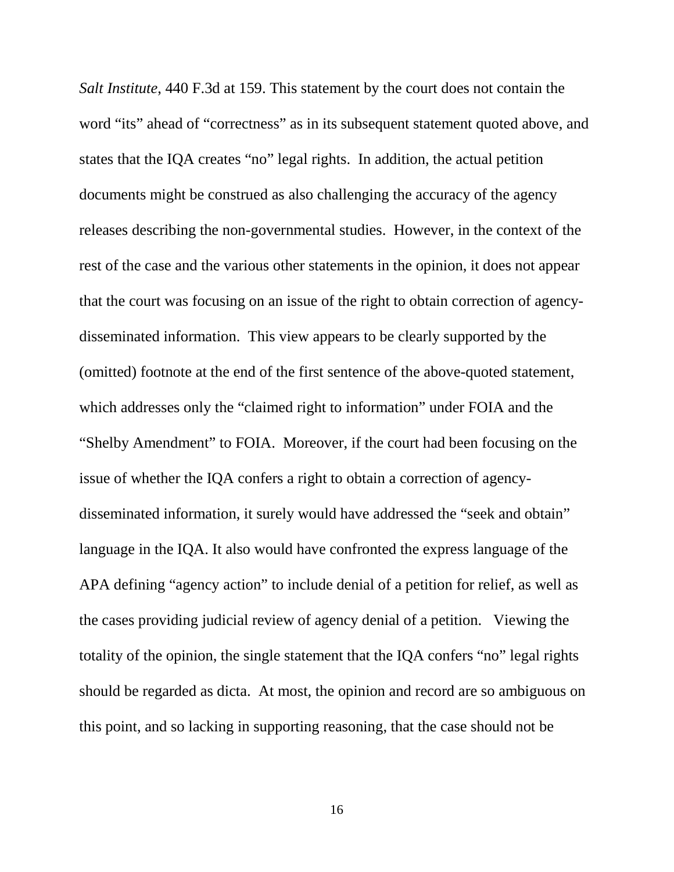*Salt Institute*, 440 F.3d at 159. This statement by the court does not contain the word "its" ahead of "correctness" as in its subsequent statement quoted above, and states that the IQA creates "no" legal rights. In addition, the actual petition documents might be construed as also challenging the accuracy of the agency releases describing the non-governmental studies. However, in the context of the rest of the case and the various other statements in the opinion, it does not appear that the court was focusing on an issue of the right to obtain correction of agencydisseminated information. This view appears to be clearly supported by the (omitted) footnote at the end of the first sentence of the above-quoted statement, which addresses only the "claimed right to information" under FOIA and the "Shelby Amendment" to FOIA. Moreover, if the court had been focusing on the issue of whether the IQA confers a right to obtain a correction of agencydisseminated information, it surely would have addressed the "seek and obtain" language in the IQA. It also would have confronted the express language of the APA defining "agency action" to include denial of a petition for relief, as well as the cases providing judicial review of agency denial of a petition. Viewing the totality of the opinion, the single statement that the IQA confers "no" legal rights should be regarded as dicta. At most, the opinion and record are so ambiguous on this point, and so lacking in supporting reasoning, that the case should not be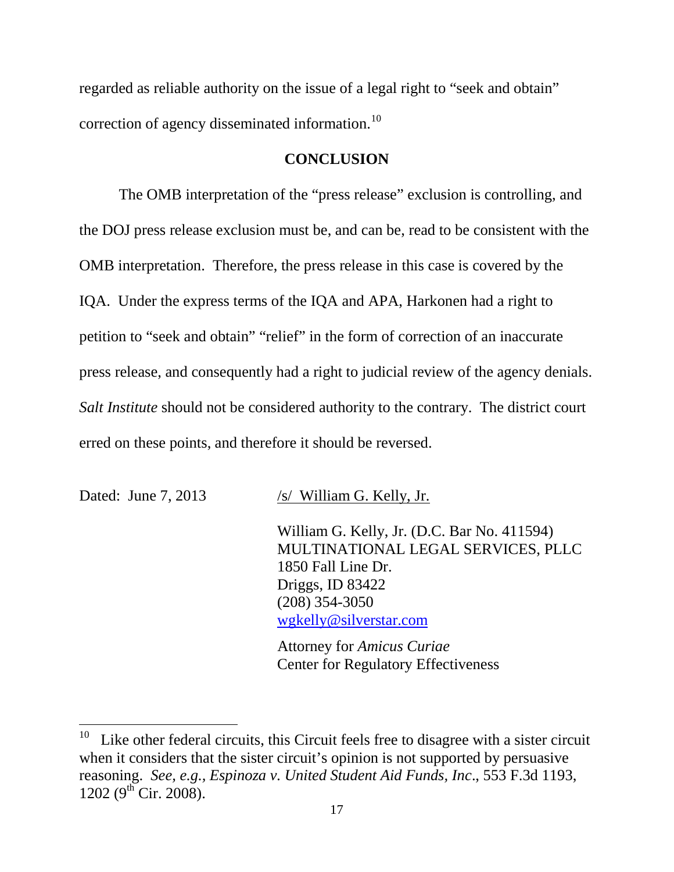regarded as reliable authority on the issue of a legal right to "seek and obtain" correction of agency disseminated information.<sup>[10](#page-26-0)</sup>

#### **CONCLUSION**

The OMB interpretation of the "press release" exclusion is controlling, and the DOJ press release exclusion must be, and can be, read to be consistent with the OMB interpretation. Therefore, the press release in this case is covered by the IQA. Under the express terms of the IQA and APA, Harkonen had a right to petition to "seek and obtain" "relief" in the form of correction of an inaccurate press release, and consequently had a right to judicial review of the agency denials. *Salt Institute* should not be considered authority to the contrary. The district court erred on these points, and therefore it should be reversed.

Dated: June 7, 2013 /s/ William G. Kelly, Jr.

William G. Kelly, Jr. (D.C. Bar No. 411594) MULTINATIONAL LEGAL SERVICES, PLLC 1850 Fall Line Dr. Driggs, ID 83422 (208) 354-3050 [wgkelly@silverstar.com](mailto:wgkelly@silverstar.com)

Attorney for *Amicus Curiae* Center for Regulatory Effectiveness

<span id="page-26-0"></span> $10$  Like other federal circuits, this Circuit feels free to disagree with a sister circuit when it considers that the sister circuit's opinion is not supported by persuasive reasoning. *See, e.g., Espinoza v. United Student Aid Funds, Inc*., 553 F.3d 1193,  $1202 (9^{th}$  Cir. 2008).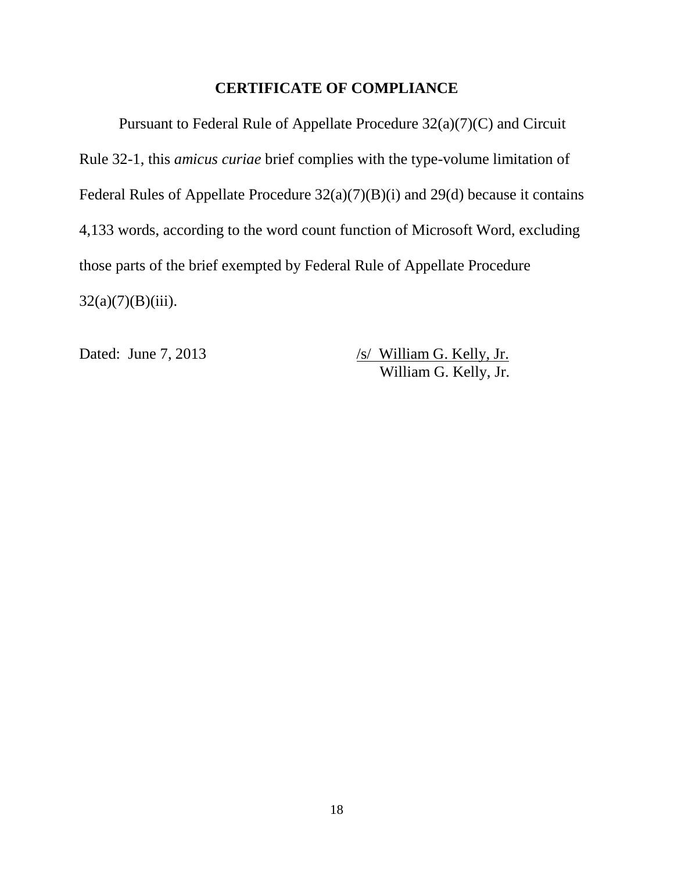## **CERTIFICATE OF COMPLIANCE**

Pursuant to Federal Rule of Appellate Procedure 32(a)(7)(C) and Circuit Rule 32-1, this *amicus curiae* brief complies with the type-volume limitation of Federal Rules of Appellate Procedure 32(a)(7)(B)(i) and 29(d) because it contains 4,133 words, according to the word count function of Microsoft Word, excluding those parts of the brief exempted by Federal Rule of Appellate Procedure  $32(a)(7)(B)(iii)$ .

Dated: June 7, 2013 /s/ William G. Kelly, Jr. William G. Kelly, Jr.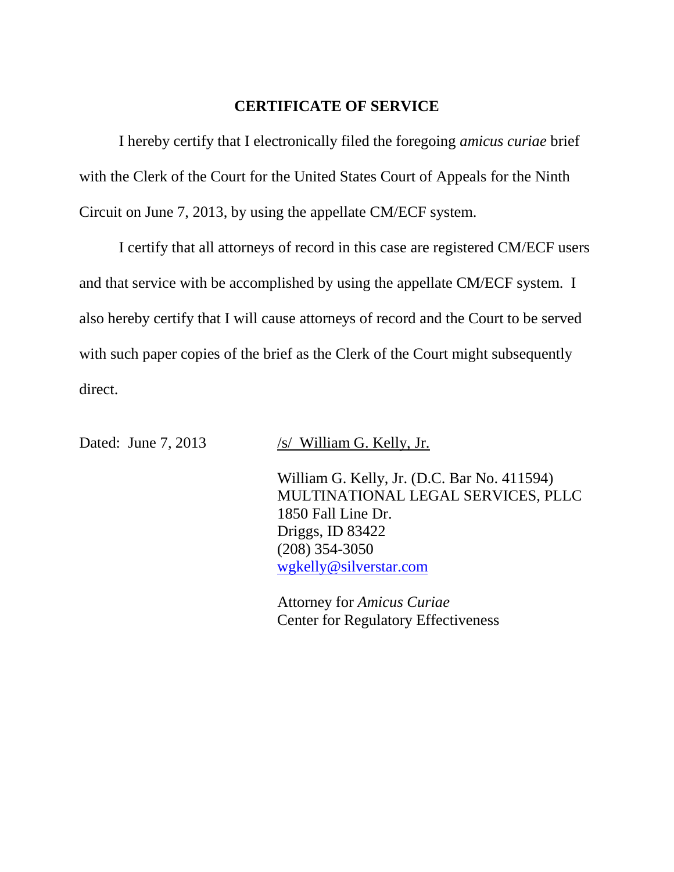### **CERTIFICATE OF SERVICE**

I hereby certify that I electronically filed the foregoing *amicus curiae* brief with the Clerk of the Court for the United States Court of Appeals for the Ninth Circuit on June 7, 2013, by using the appellate CM/ECF system.

I certify that all attorneys of record in this case are registered CM/ECF users and that service with be accomplished by using the appellate CM/ECF system. I also hereby certify that I will cause attorneys of record and the Court to be served with such paper copies of the brief as the Clerk of the Court might subsequently direct.

Dated: June 7, 2013 /s/ William G. Kelly, Jr.

William G. Kelly, Jr. (D.C. Bar No. 411594) MULTINATIONAL LEGAL SERVICES, PLLC 1850 Fall Line Dr. Driggs, ID 83422 (208) 354-3050 [wgkelly@silverstar.com](mailto:wgkelly@silverstar.com)

Attorney for *Amicus Curiae* Center for Regulatory Effectiveness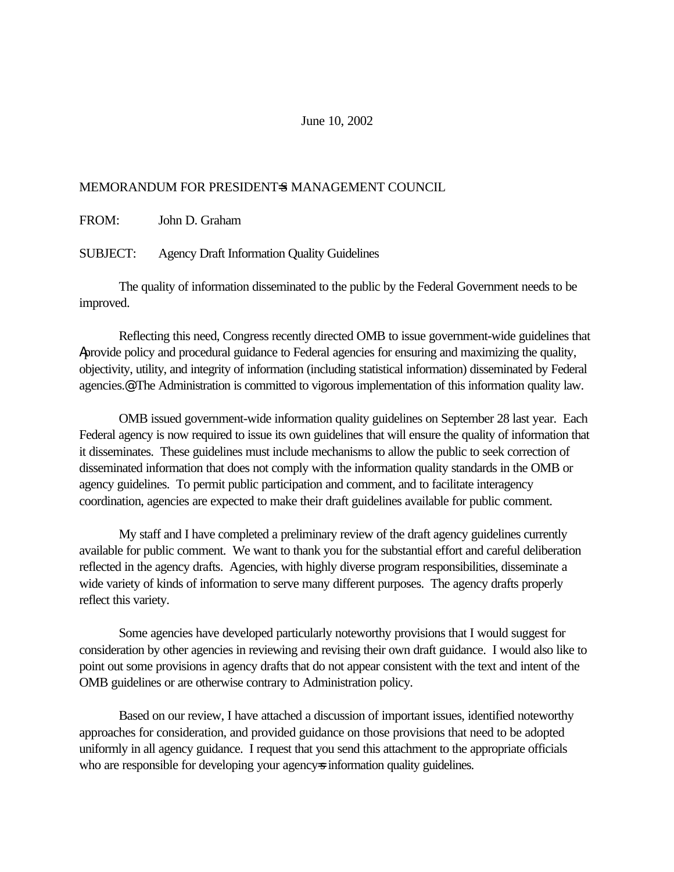#### June 10, 2002

#### MEMORANDUM FOR PRESIDENT=S MANAGEMENT COUNCIL

FROM: John D. Graham

SUBJECT: Agency Draft Information Quality Guidelines

The quality of information disseminated to the public by the Federal Government needs to be improved.

Reflecting this need, Congress recently directed OMB to issue government-wide guidelines that Aprovide policy and procedural guidance to Federal agencies for ensuring and maximizing the quality, objectivity, utility, and integrity of information (including statistical information) disseminated by Federal agencies.@ The Administration is committed to vigorous implementation of this information quality law.

OMB issued government-wide information quality guidelines on September 28 last year. Each Federal agency is now required to issue its own guidelines that will ensure the quality of information that it disseminates. These guidelines must include mechanisms to allow the public to seek correction of disseminated information that does not comply with the information quality standards in the OMB or agency guidelines. To permit public participation and comment, and to facilitate interagency coordination, agencies are expected to make their draft guidelines available for public comment.

My staff and I have completed a preliminary review of the draft agency guidelines currently available for public comment. We want to thank you for the substantial effort and careful deliberation reflected in the agency drafts. Agencies, with highly diverse program responsibilities, disseminate a wide variety of kinds of information to serve many different purposes. The agency drafts properly reflect this variety.

Some agencies have developed particularly noteworthy provisions that I would suggest for consideration by other agencies in reviewing and revising their own draft guidance. I would also like to point out some provisions in agency drafts that do not appear consistent with the text and intent of the OMB guidelines or are otherwise contrary to Administration policy.

Based on our review, I have attached a discussion of important issues, identified noteworthy approaches for consideration, and provided guidance on those provisions that need to be adopted uniformly in all agency guidance. I request that you send this attachment to the appropriate officials who are responsible for developing your agency information quality guidelines.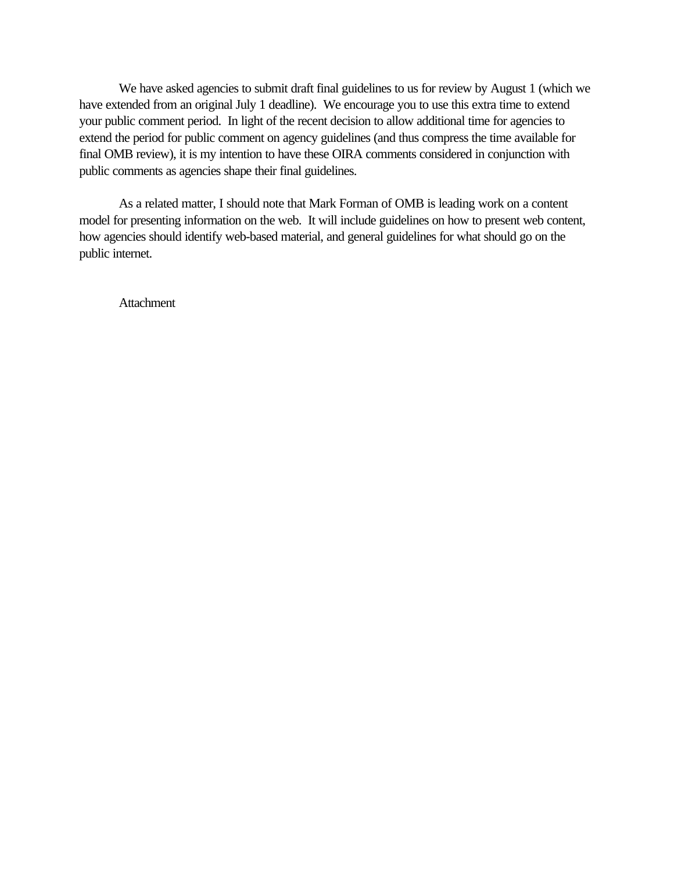We have asked agencies to submit draft final guidelines to us for review by August 1 (which we have extended from an original July 1 deadline). We encourage you to use this extra time to extend your public comment period. In light of the recent decision to allow additional time for agencies to extend the period for public comment on agency guidelines (and thus compress the time available for final OMB review), it is my intention to have these OIRA comments considered in conjunction with public comments as agencies shape their final guidelines.

As a related matter, I should note that Mark Forman of OMB is leading work on a content model for presenting information on the web. It will include guidelines on how to present web content, how agencies should identify web-based material, and general guidelines for what should go on the public internet.

**Attachment**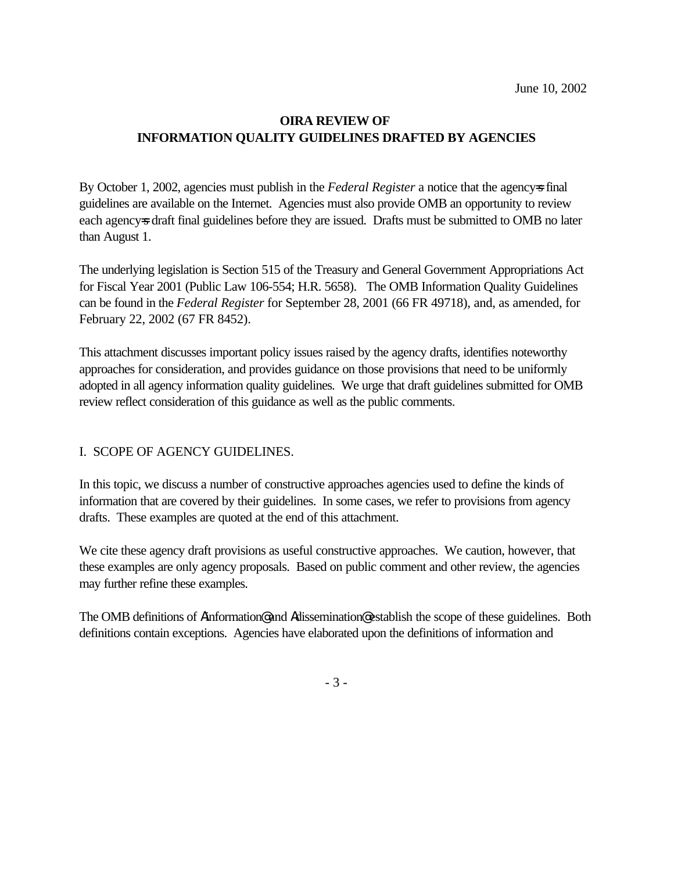#### **OIRA REVIEW OF INFORMATION QUALITY GUIDELINES DRAFTED BY AGENCIES**

By October 1, 2002, agencies must publish in the *Federal Register* a notice that the agency is final guidelines are available on the Internet. Agencies must also provide OMB an opportunity to review each agency=s draft final guidelines before they are issued. Drafts must be submitted to OMB no later than August 1.

The underlying legislation is Section 515 of the Treasury and General Government Appropriations Act for Fiscal Year 2001 (Public Law 106-554; H.R. 5658). The OMB Information Quality Guidelines can be found in the *Federal Register* for September 28, 2001 (66 FR 49718), and, as amended, for February 22, 2002 (67 FR 8452).

This attachment discusses important policy issues raised by the agency drafts, identifies noteworthy approaches for consideration, and provides guidance on those provisions that need to be uniformly adopted in all agency information quality guidelines. We urge that draft guidelines submitted for OMB review reflect consideration of this guidance as well as the public comments.

#### I. SCOPE OF AGENCY GUIDELINES.

In this topic, we discuss a number of constructive approaches agencies used to define the kinds of information that are covered by their guidelines. In some cases, we refer to provisions from agency drafts. These examples are quoted at the end of this attachment.

We cite these agency draft provisions as useful constructive approaches. We caution, however, that these examples are only agency proposals. Based on public comment and other review, the agencies may further refine these examples.

The OMB definitions of Ainformation@ and Adissemination@ establish the scope of these guidelines. Both definitions contain exceptions. Agencies have elaborated upon the definitions of information and

- 3 -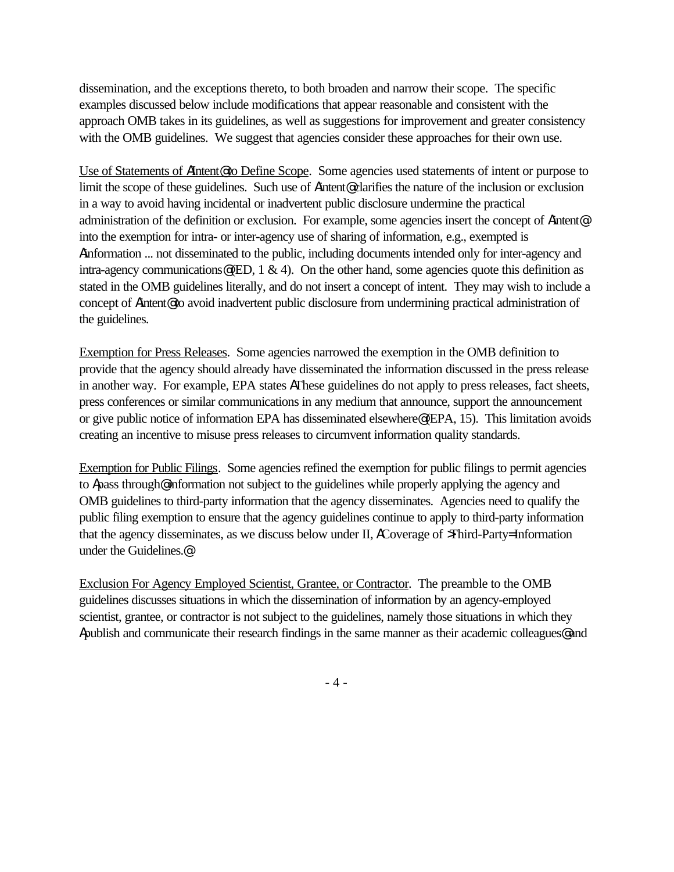dissemination, and the exceptions thereto, to both broaden and narrow their scope. The specific examples discussed below include modifications that appear reasonable and consistent with the approach OMB takes in its guidelines, as well as suggestions for improvement and greater consistency with the OMB guidelines. We suggest that agencies consider these approaches for their own use.

Use of Statements of AIntent<sup>®</sup> to Define Scope. Some agencies used statements of intent or purpose to limit the scope of these guidelines. Such use of Aintent@ clarifies the nature of the inclusion or exclusion in a way to avoid having incidental or inadvertent public disclosure undermine the practical administration of the definition or exclusion. For example, some agencies insert the concept of Aintent@ into the exemption for intra- or inter-agency use of sharing of information, e.g., exempted is Ainformation ... not disseminated to the public, including documents intended only for inter-agency and intra-agency communications  $\mathcal{Q}(ED, 1 \& 4)$ . On the other hand, some agencies quote this definition as stated in the OMB guidelines literally, and do not insert a concept of intent. They may wish to include a concept of Aintent@ to avoid inadvertent public disclosure from undermining practical administration of the guidelines.

Exemption for Press Releases. Some agencies narrowed the exemption in the OMB definition to provide that the agency should already have disseminated the information discussed in the press release in another way. For example, EPA states AThese guidelines do not apply to press releases, fact sheets, press conferences or similar communications in any medium that announce, support the announcement or give public notice of information EPA has disseminated elsewhere@ (EPA, 15). This limitation avoids creating an incentive to misuse press releases to circumvent information quality standards.

Exemption for Public Filings. Some agencies refined the exemption for public filings to permit agencies to Apass through@ information not subject to the guidelines while properly applying the agency and OMB guidelines to third-party information that the agency disseminates. Agencies need to qualify the public filing exemption to ensure that the agency guidelines continue to apply to third-party information that the agency disseminates, as we discuss below under II, ACoverage of >Third-Party= Information under the Guidelines.@

Exclusion For Agency Employed Scientist, Grantee, or Contractor. The preamble to the OMB guidelines discusses situations in which the dissemination of information by an agency-employed scientist, grantee, or contractor is not subject to the guidelines, namely those situations in which they Apublish and communicate their research findings in the same manner as their academic colleagues@ and

- 4 -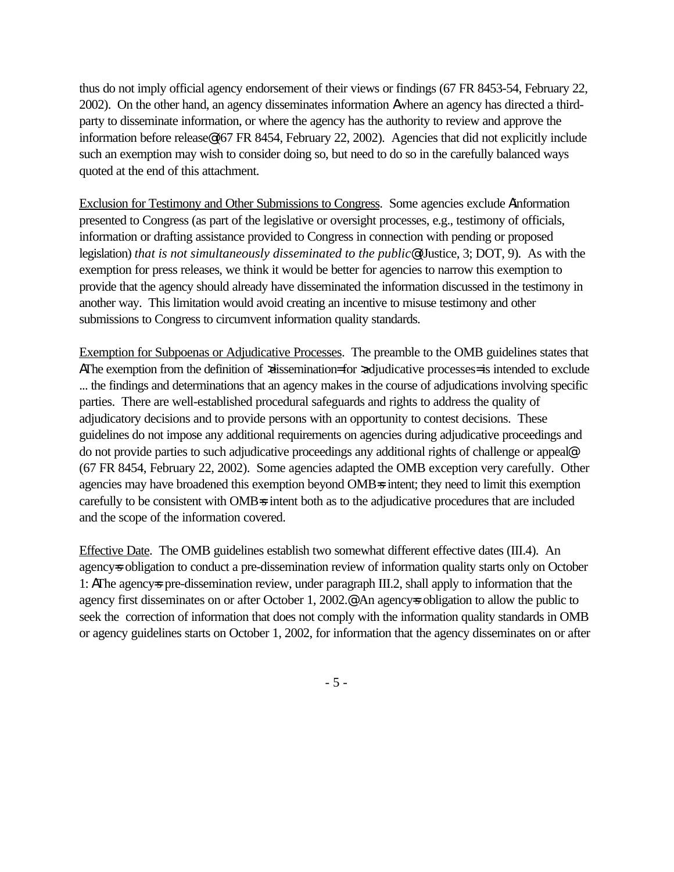thus do not imply official agency endorsement of their views or findings (67 FR 8453-54, February 22, 2002). On the other hand, an agency disseminates information Awhere an agency has directed a thirdparty to disseminate information, or where the agency has the authority to review and approve the information before release@ (67 FR 8454, February 22, 2002). Agencies that did not explicitly include such an exemption may wish to consider doing so, but need to do so in the carefully balanced ways quoted at the end of this attachment.

Exclusion for Testimony and Other Submissions to Congress. Some agencies exclude Ainformation presented to Congress (as part of the legislative or oversight processes, e.g., testimony of officials, information or drafting assistance provided to Congress in connection with pending or proposed legislation) *that is not simultaneously disseminated to the public*@ (Justice, 3; DOT, 9). As with the exemption for press releases, we think it would be better for agencies to narrow this exemption to provide that the agency should already have disseminated the information discussed in the testimony in another way. This limitation would avoid creating an incentive to misuse testimony and other submissions to Congress to circumvent information quality standards.

Exemption for Subpoenas or Adjudicative Processes. The preamble to the OMB guidelines states that AThe exemption from the definition of  $x$ dissemination= for  $x$ djudicative processes= is intended to exclude ... the findings and determinations that an agency makes in the course of adjudications involving specific parties. There are well-established procedural safeguards and rights to address the quality of adjudicatory decisions and to provide persons with an opportunity to contest decisions. These guidelines do not impose any additional requirements on agencies during adjudicative proceedings and do not provide parties to such adjudicative proceedings any additional rights of challenge or appeal@ (67 FR 8454, February 22, 2002). Some agencies adapted the OMB exception very carefully. Other agencies may have broadened this exemption beyond OMB=s intent; they need to limit this exemption carefully to be consistent with OMB=s intent both as to the adjudicative procedures that are included and the scope of the information covered.

Effective Date. The OMB guidelines establish two somewhat different effective dates (III.4). An agencys obligation to conduct a pre-dissemination review of information quality starts only on October 1: AThe agency=s pre-dissemination review, under paragraph III.2, shall apply to information that the agency first disseminates on or after October 1, 2002.<sup>@</sup> An agency sobligation to allow the public to seek the correction of information that does not comply with the information quality standards in OMB or agency guidelines starts on October 1, 2002, for information that the agency disseminates on or after

- 5 -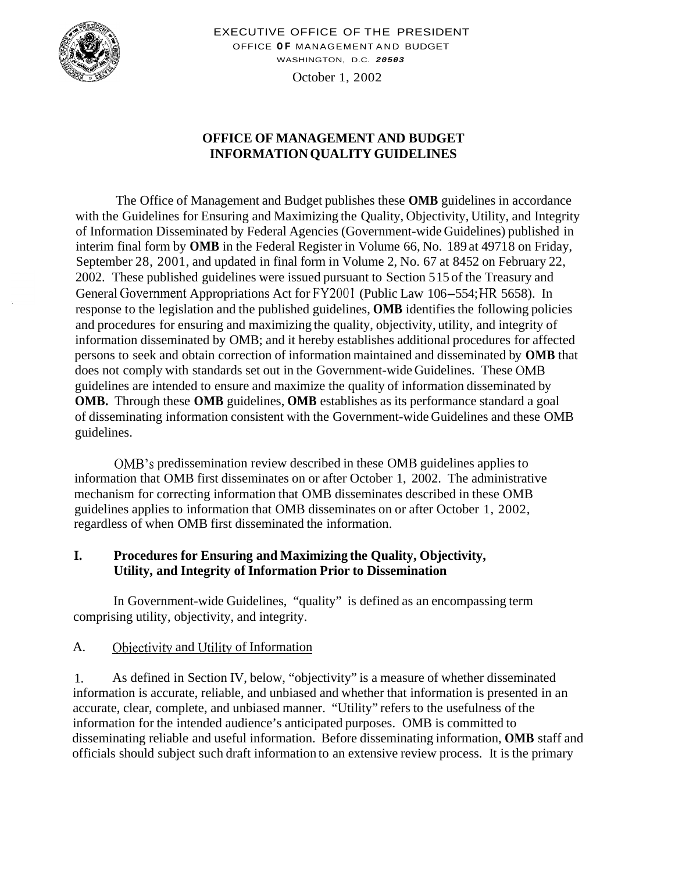

EXECUTIVE OFFICE OF THE PRESIDENT OFFICE **OF** MANAGEMENT AND BUDGET WASHINGTON, D.C. *20503* 

October 1, 2002

#### **OFFICE OF MANAGEMENT AND BUDGET INFORMATION QUALITY GUIDELINES**

The Office of Management and Budget publishes these **OMB** guidelines in accordance with the Guidelines for Ensuring and Maximizing the Quality, Objectivity, Utility, and Integrity of Information Disseminated by Federal Agencies (Government-wide Guidelines) published in interim final form by **OMB** in the Federal Register in Volume 66, No. 189 at 49718 on Friday, September 28, 2001, and updated in final form in Volume 2, No. 67 at 8452 on February 22, 2002. These published guidelines were issued pursuant to Section 515 of the Treasury and General Government Appropriations Act for FY2001 (Public Law 106-554; HR 5658). In response to the legislation and the published guidelines, **OMB** identifies the following policies and procedures for ensuring and maximizing the quality, objectivity, utility, and integrity of information disseminated by OMB; and it hereby establishes additional procedures for affected persons to seek and obtain correction of information maintained and disseminated by **OMB** that does not comply with standards set out in the Government-wide Guidelines. These OMB guidelines are intended to ensure and maximize the quality of information disseminated by **OMB.** Through these **OMB** guidelines, **OMB** establishes as its performance standard a goal of disseminating information consistent with the Government-wide Guidelines and these OMB guidelines.

OMB's predissemination review described in these OMB guidelines applies to information that OMB first disseminates on or after October 1, 2002. The administrative mechanism for correcting information that OMB disseminates described in these OMB guidelines applies to information that OMB disseminates on or after October 1, 2002, regardless of when OMB first disseminated the information.

#### **I. Procedures for Ensuring and Maximizing the Quality, Objectivity, Utility, and Integrity of Information Prior to Dissemination**

In Government-wide Guidelines, "quality" is defined as an encompassing term comprising utility, objectivity, and integrity.

#### A. Objectivity and Utility of Information

1. As defined in Section IV, below, "objectivity" is a measure of whether disseminated information is accurate, reliable, and unbiased and whether that information is presented in an accurate, clear, complete, and unbiased manner. "Utility" refers to the usefulness of the information for the intended audience's anticipated purposes. OMB is committed to disseminating reliable and useful information. Before disseminating information, **OMB** staff and officials should subject such draft information to an extensive review process. It is the primary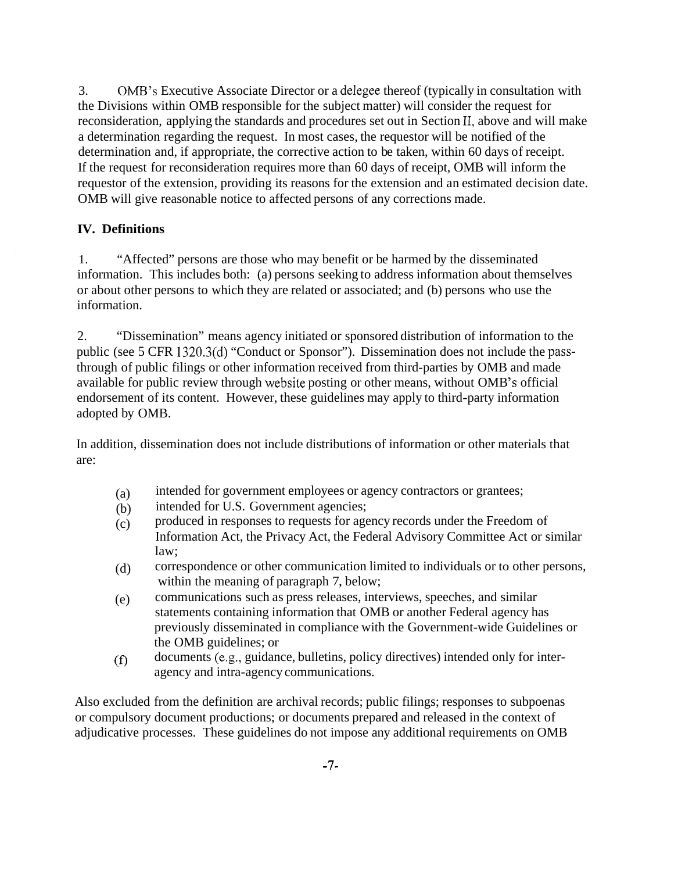3. OMB's Executive Associate Director or a delegee thereof (typically in consultation with the Divisions within OMB responsible for the subject matter) will consider the request for reconsideration, applying the standards and procedures set out in Section II, above and will make a determination regarding the request. In most cases, the requestor will be notified of the determination and, if appropriate, the corrective action to be taken, within 60 days of receipt. If the request for reconsideration requires more than 60 days of receipt, OMB will inform the requestor of the extension, providing its reasons for the extension and an estimated decision date. OMB will give reasonable notice to affected persons of any corrections made.

#### **IV. Definitions**

1. "Affected" persons are those who may benefit or be harmed by the disseminated information. This includes both: (a) persons seeking to address information about themselves or about other persons to which they are related or associated; and (b) persons who use the information.

2. "Dissemination" means agency initiated or sponsored distribution of information to the public (see 5 CFR 1320.3(d) "Conduct or Sponsor"). Dissemination does not include the passthrough of public filings or other information received from third-parties by OMB and made available for public review through website posting or other means, without OMB's official endorsement of its content. However, these guidelines may apply to third-party information adopted by OMB.

In addition, dissemination does not include distributions of information or other materials that are:

- (a) intended for government employees or agency contractors or grantees;
- (b) intended for U.S. Government agencies;
- (c) produced in responses to requests for agency records under the Freedom of Information Act, the Privacy Act, the Federal Advisory Committee Act or similar law;
- (d) correspondence or other communication limited to individuals or to other persons, within the meaning of paragraph 7, below;
- (e) communications such as press releases, interviews, speeches, and similar statements containing information that OMB or another Federal agency has previously disseminated in compliance with the Government-wide Guidelines or the OMB guidelines; or
- documents (e.g., guidance, bulletins, policy directives) intended only for inter- $(f)$ agency and intra-agency communications.

Also excluded from the definition are archival records; public filings; responses to subpoenas or compulsory document productions; or documents prepared and released in the context of adjudicative processes. These guidelines do not impose any additional requirements on OMB